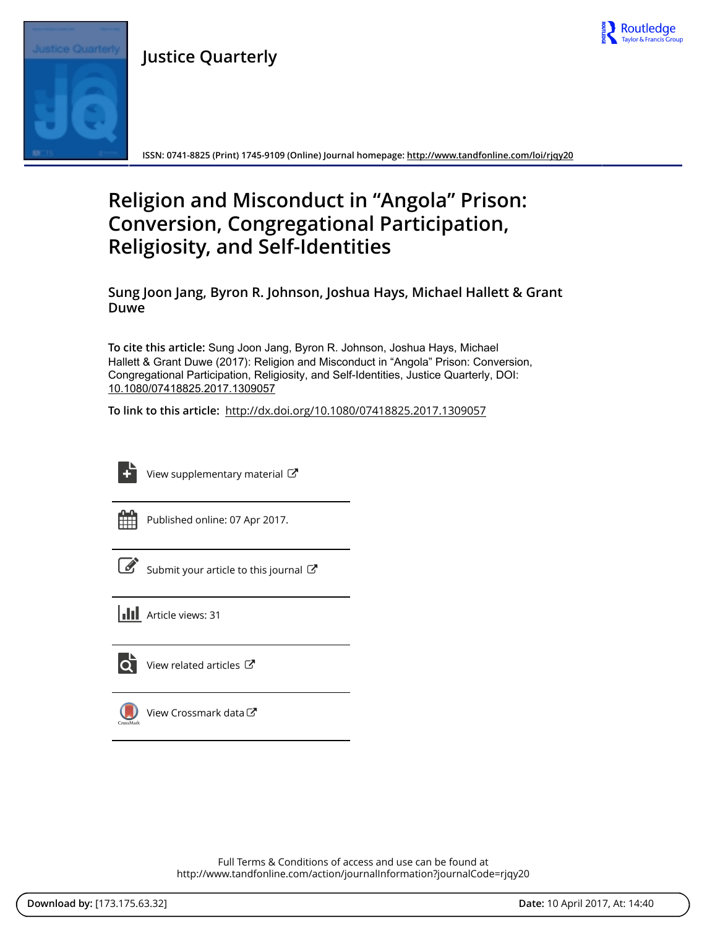

**Justice Quarterly**



**ISSN: 0741-8825 (Print) 1745-9109 (Online) Journal homepage:<http://www.tandfonline.com/loi/rjqy20>**

# **Religion and Misconduct in "Angola" Prison: Conversion, Congregational Participation, Religiosity, and Self-Identities**

**Sung Joon Jang, Byron R. Johnson, Joshua Hays, Michael Hallett & Grant Duwe**

**To cite this article:** Sung Joon Jang, Byron R. Johnson, Joshua Hays, Michael Hallett & Grant Duwe (2017): Religion and Misconduct in "Angola" Prison: Conversion, Congregational Participation, Religiosity, and Self-Identities, Justice Quarterly, DOI: [10.1080/07418825.2017.1309057](http://www.tandfonline.com/action/showCitFormats?doi=10.1080/07418825.2017.1309057)

**To link to this article:** <http://dx.doi.org/10.1080/07418825.2017.1309057>



[View supplementary material](http://www.tandfonline.com/doi/suppl/10.1080/07418825.2017.1309057)  $\mathbb{Z}$ 

Published online: 07 Apr 2017.



 $\overrightarrow{S}$  [Submit your article to this journal](http://www.tandfonline.com/action/authorSubmission?journalCode=rjqy20&show=instructions)  $\overrightarrow{S}$ 

**III** Article views: 31

 $\overrightarrow{Q}$  [View related articles](http://www.tandfonline.com/doi/mlt/10.1080/07418825.2017.1309057)  $\overrightarrow{C}$ 



[View Crossmark data](http://crossmark.crossref.org/dialog/?doi=10.1080/07418825.2017.1309057&domain=pdf&date_stamp=2017-04-07)<sup>で</sup>

Full Terms & Conditions of access and use can be found at <http://www.tandfonline.com/action/journalInformation?journalCode=rjqy20>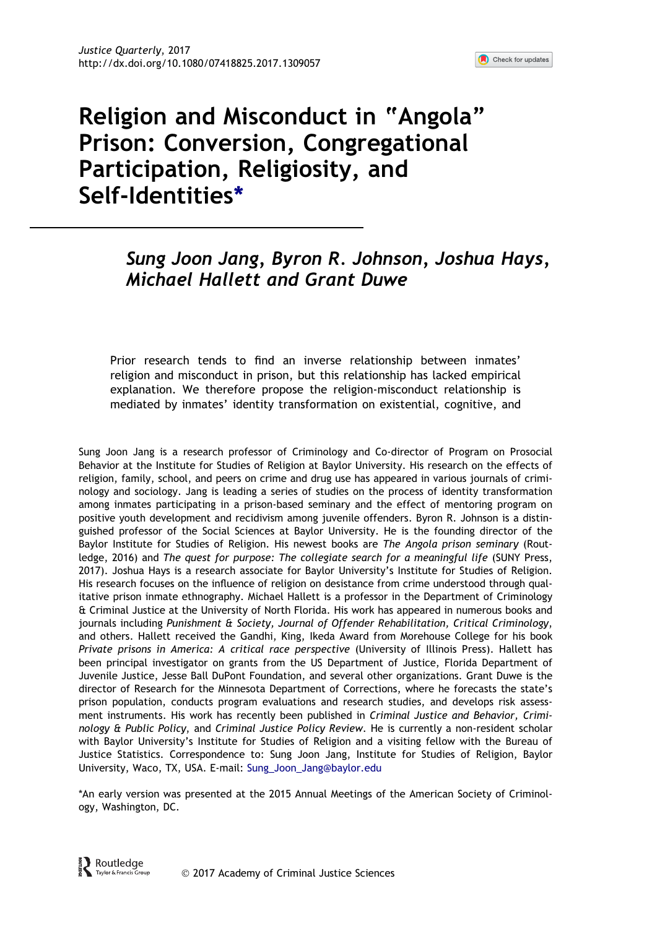#### Check for updates

# Religion and Misconduct in "Angola" Prison: Conversion, Congregational Participation, Religiosity, and Self-Identities\*

# Sung Joon Jang, Byron R. Johnson, Joshua Hays, Michael Hallett and Grant Duwe

Prior research tends to find an inverse relationship between inmates' religion and misconduct in prison, but this relationship has lacked empirical explanation. We therefore propose the religion-misconduct relationship is mediated by inmates' identity transformation on existential, cognitive, and

Sung Joon Jang is a research professor of Criminology and Co-director of Program on Prosocial Behavior at the Institute for Studies of Religion at Baylor University. His research on the effects of religion, family, school, and peers on crime and drug use has appeared in various journals of criminology and sociology. Jang is leading a series of studies on the process of identity transformation among inmates participating in a prison-based seminary and the effect of mentoring program on positive youth development and recidivism among juvenile offenders. Byron R. Johnson is a distinguished professor of the Social Sciences at Baylor University. He is the founding director of the Baylor Institute for Studies of Religion. His newest books are The Angola prison seminary (Routledge, 2016) and The quest for purpose: The collegiate search for a meaningful life (SUNY Press, 2017). Joshua Hays is a research associate for Baylor University's Institute for Studies of Religion. His research focuses on the influence of religion on desistance from crime understood through qualitative prison inmate ethnography. Michael Hallett is a professor in the Department of Criminology & Criminal Justice at the University of North Florida. His work has appeared in numerous books and journals including Punishment & Society, Journal of Offender Rehabilitation, Critical Criminology, and others. Hallett received the Gandhi, King, Ikeda Award from Morehouse College for his book Private prisons in America: A critical race perspective (University of Illinois Press). Hallett has been principal investigator on grants from the US Department of Justice, Florida Department of Juvenile Justice, Jesse Ball DuPont Foundation, and several other organizations. Grant Duwe is the director of Research for the Minnesota Department of Corrections, where he forecasts the state's prison population, conducts program evaluations and research studies, and develops risk assessment instruments. His work has recently been published in Criminal Justice and Behavior, Criminology & Public Policy, and Criminal Justice Policy Review. He is currently a non-resident scholar with Baylor University's Institute for Studies of Religion and a visiting fellow with the Bureau of Justice Statistics. Correspondence to: Sung Joon Jang, Institute for Studies of Religion, Baylor University, Waco, TX, USA. E-mail: [Sung\\_Joon\\_Jang@baylor.edu](mailto:Sung_Joon_Jang@baylor.edu)

\*An early version was presented at the 2015 Annual Meetings of the American Society of Criminology, Washington, DC.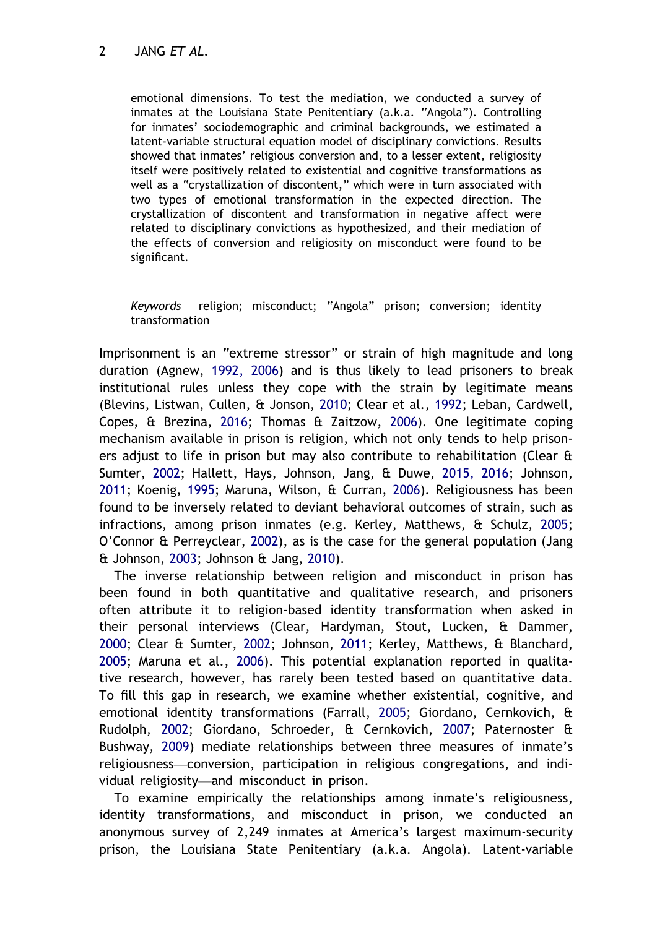<span id="page-2-0"></span>emotional dimensions. To test the mediation, we conducted a survey of inmates at the Louisiana State Penitentiary (a.k.a. "Angola"). Controlling for inmates' sociodemographic and criminal backgrounds, we estimated a latent-variable structural equation model of disciplinary convictions. Results showed that inmates' religious conversion and, to a lesser extent, religiosity itself were positively related to existential and cognitive transformations as well as a "crystallization of discontent," which were in turn associated with two types of emotional transformation in the expected direction. The crystallization of discontent and transformation in negative affect were related to disciplinary convictions as hypothesized, and their mediation of the effects of conversion and religiosity on misconduct were found to be significant.

Keywords religion; misconduct; "Angola" prison; conversion; identity transformation

Imprisonment is an "extreme stressor" or strain of high magnitude and long duration (Agnew, [1992, 2006\)](#page-24-0) and is thus likely to lead prisoners to break institutional rules unless they cope with the strain by legitimate means (Blevins, Listwan, Cullen, & Jonson, [2010;](#page-24-0) Clear et al., [1992;](#page-24-0) Leban, Cardwell, Copes, & Brezina, [2016;](#page-26-0) Thomas & Zaitzow, [2006\)](#page-27-0). One legitimate coping mechanism available in prison is religion, which not only tends to help prisoners adjust to life in prison but may also contribute to rehabilitation (Clear & Sumter, [2002;](#page-24-0) Hallett, Hays, Johnson, Jang, & Duwe, [2015, 2016](#page-25-0); Johnson, [2011;](#page-26-0) Koenig, [1995;](#page-26-0) Maruna, Wilson, & Curran, [2006](#page-26-0)). Religiousness has been found to be inversely related to deviant behavioral outcomes of strain, such as infractions, among prison inmates (e.g. Kerley, Matthews, & Schulz, [2005](#page-26-0); O'Connor & Perreyclear, [2002\)](#page-26-0), as is the case for the general population (Jang & Johnson, [2003](#page-25-0); Johnson & Jang, [2010\)](#page-26-0).

The inverse relationship between religion and misconduct in prison has been found in both quantitative and qualitative research, and prisoners often attribute it to religion-based identity transformation when asked in their personal interviews (Clear, Hardyman, Stout, Lucken, & Dammer, [2000;](#page-24-0) Clear & Sumter, [2002;](#page-24-0) Johnson, [2011](#page-26-0); Kerley, Matthews, & Blanchard, [2005;](#page-26-0) Maruna et al., [2006\)](#page-26-0). This potential explanation reported in qualitative research, however, has rarely been tested based on quantitative data. To fill this gap in research, we examine whether existential, cognitive, and emotional identity transformations (Farrall, [2005](#page-25-0); Giordano, Cernkovich, & Rudolph, [2002;](#page-25-0) Giordano, Schroeder, & Cernkovich, [2007](#page-25-0); Paternoster & Bushway, [2009](#page-27-0)) mediate relationships between three measures of inmate's religiousness—conversion, participation in religious congregations, and individual religiosity—and misconduct in prison.

To examine empirically the relationships among inmate's religiousness, identity transformations, and misconduct in prison, we conducted an anonymous survey of 2,249 inmates at America's largest maximum-security prison, the Louisiana State Penitentiary (a.k.a. Angola). Latent-variable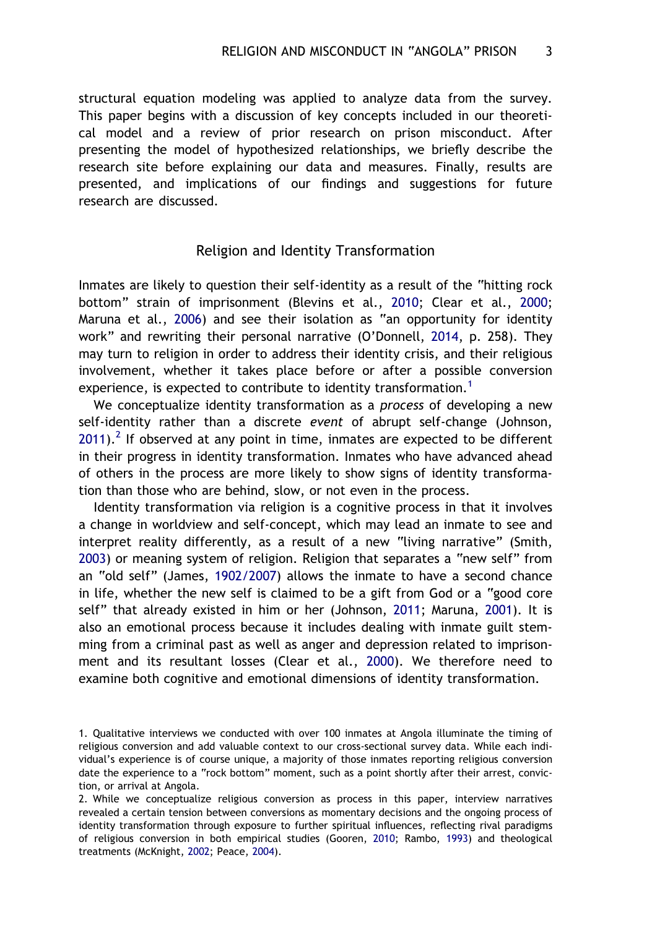<span id="page-3-0"></span>structural equation modeling was applied to analyze data from the survey. This paper begins with a discussion of key concepts included in our theoretical model and a review of prior research on prison misconduct. After presenting the model of hypothesized relationships, we briefly describe the research site before explaining our data and measures. Finally, results are presented, and implications of our findings and suggestions for future research are discussed.

#### Religion and Identity Transformation

Inmates are likely to question their self-identity as a result of the "hitting rock bottom" strain of imprisonment (Blevins et al., [2010](#page-24-0); Clear et al., [2000;](#page-24-0) Maruna et al., [2006\)](#page-26-0) and see their isolation as "an opportunity for identity work" and rewriting their personal narrative (O'Donnell, [2014](#page-26-0), p. 258). They may turn to religion in order to address their identity crisis, and their religious involvement, whether it takes place before or after a possible conversion experience, is expected to contribute to identity transformation.<sup>1</sup>

We conceptualize identity transformation as a *process* of developing a new self-identity rather than a discrete event of abrupt self-change (Johnson,  $2011$ ).<sup>2</sup> If observed at any point in time, inmates are expected to be different in their progress in identity transformation. Inmates who have advanced ahead of others in the process are more likely to show signs of identity transformation than those who are behind, slow, or not even in the process.

Identity transformation via religion is a cognitive process in that it involves a change in worldview and self-concept, which may lead an inmate to see and interpret reality differently, as a result of a new "living narrative" (Smith, [2003](#page-27-0)) or meaning system of religion. Religion that separates a "new self" from an "old self" (James, [1902/2007](#page-25-0)) allows the inmate to have a second chance in life, whether the new self is claimed to be a gift from God or a "good core self" that already existed in him or her (Johnson, [2011;](#page-26-0) Maruna, [2001](#page-26-0)). It is also an emotional process because it includes dealing with inmate guilt stemming from a criminal past as well as anger and depression related to imprisonment and its resultant losses (Clear et al., [2000](#page-24-0)). We therefore need to examine both cognitive and emotional dimensions of identity transformation.

<sup>1.</sup> Qualitative interviews we conducted with over 100 inmates at Angola illuminate the timing of religious conversion and add valuable context to our cross-sectional survey data. While each individual's experience is of course unique, a majority of those inmates reporting religious conversion date the experience to a "rock bottom" moment, such as a point shortly after their arrest, conviction, or arrival at Angola.

<sup>2.</sup> While we conceptualize religious conversion as process in this paper, interview narratives revealed a certain tension between conversions as momentary decisions and the ongoing process of identity transformation through exposure to further spiritual influences, reflecting rival paradigms of religious conversion in both empirical studies (Gooren, [2010;](#page-25-0) Rambo, [1993](#page-27-0)) and theological treatments (McKnight, [2002;](#page-26-0) Peace, [2004\)](#page-27-0).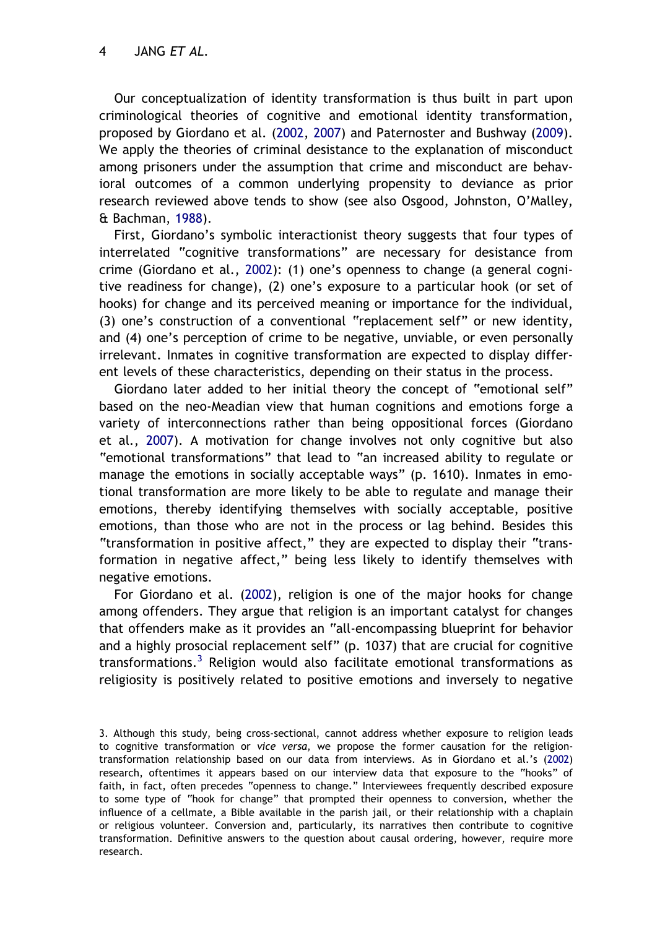<span id="page-4-0"></span>Our conceptualization of identity transformation is thus built in part upon criminological theories of cognitive and emotional identity transformation, proposed by Giordano et al. [\(2002](#page-25-0), [2007](#page-25-0)) and Paternoster and Bushway ([2009](#page-27-0)). We apply the theories of criminal desistance to the explanation of misconduct among prisoners under the assumption that crime and misconduct are behavioral outcomes of a common underlying propensity to deviance as prior research reviewed above tends to show (see also Osgood, Johnston, O'Malley, & Bachman, [1988](#page-26-0)).

First, Giordano's symbolic interactionist theory suggests that four types of interrelated "cognitive transformations" are necessary for desistance from crime (Giordano et al., [2002](#page-25-0)): (1) one's openness to change (a general cognitive readiness for change), (2) one's exposure to a particular hook (or set of hooks) for change and its perceived meaning or importance for the individual, (3) one's construction of a conventional "replacement self" or new identity, and (4) one's perception of crime to be negative, unviable, or even personally irrelevant. Inmates in cognitive transformation are expected to display different levels of these characteristics, depending on their status in the process.

Giordano later added to her initial theory the concept of "emotional self" based on the neo-Meadian view that human cognitions and emotions forge a variety of interconnections rather than being oppositional forces (Giordano et al., [2007](#page-25-0)). A motivation for change involves not only cognitive but also "emotional transformations" that lead to "an increased ability to regulate or manage the emotions in socially acceptable ways" (p. 1610). Inmates in emotional transformation are more likely to be able to regulate and manage their emotions, thereby identifying themselves with socially acceptable, positive emotions, than those who are not in the process or lag behind. Besides this "transformation in positive affect," they are expected to display their "transformation in negative affect," being less likely to identify themselves with negative emotions.

For Giordano et al. [\(2002](#page-25-0)), religion is one of the major hooks for change among offenders. They argue that religion is an important catalyst for changes that offenders make as it provides an "all-encompassing blueprint for behavior and a highly prosocial replacement self" (p. 1037) that are crucial for cognitive transformations.3 Religion would also facilitate emotional transformations as religiosity is positively related to positive emotions and inversely to negative

<sup>3.</sup> Although this study, being cross-sectional, cannot address whether exposure to religion leads to cognitive transformation or vice versa, we propose the former causation for the religiontransformation relationship based on our data from interviews. As in Giordano et al.'s [\(2002\)](#page-25-0) research, oftentimes it appears based on our interview data that exposure to the "hooks" of faith, in fact, often precedes "openness to change." Interviewees frequently described exposure to some type of "hook for change" that prompted their openness to conversion, whether the influence of a cellmate, a Bible available in the parish jail, or their relationship with a chaplain or religious volunteer. Conversion and, particularly, its narratives then contribute to cognitive transformation. Definitive answers to the question about causal ordering, however, require more research.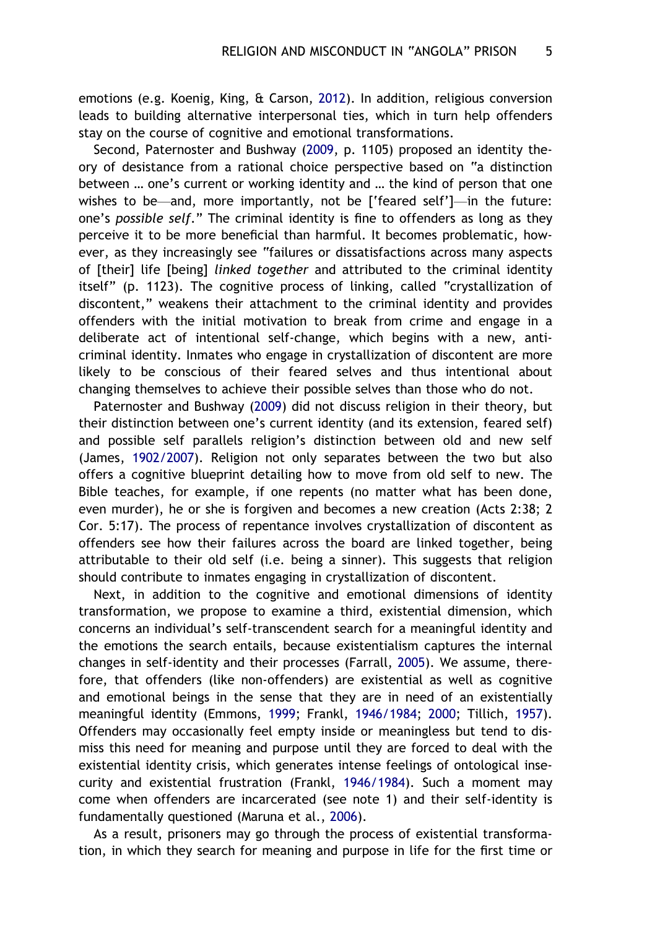<span id="page-5-0"></span>emotions (e.g. Koenig, King, & Carson, [2012\)](#page-26-0). In addition, religious conversion leads to building alternative interpersonal ties, which in turn help offenders stay on the course of cognitive and emotional transformations.

Second, Paternoster and Bushway ([2009,](#page-27-0) p. 1105) proposed an identity theory of desistance from a rational choice perspective based on "a distinction between … one's current or working identity and … the kind of person that one wishes to be—and, more importantly, not be ['feared self']—in the future: one's possible self." The criminal identity is fine to offenders as long as they perceive it to be more beneficial than harmful. It becomes problematic, however, as they increasingly see "failures or dissatisfactions across many aspects of [their] life [being] linked together and attributed to the criminal identity itself" (p. 1123). The cognitive process of linking, called "crystallization of discontent," weakens their attachment to the criminal identity and provides offenders with the initial motivation to break from crime and engage in a deliberate act of intentional self-change, which begins with a new, anticriminal identity. Inmates who engage in crystallization of discontent are more likely to be conscious of their feared selves and thus intentional about changing themselves to achieve their possible selves than those who do not.

Paternoster and Bushway [\(2009](#page-27-0)) did not discuss religion in their theory, but their distinction between one's current identity (and its extension, feared self) and possible self parallels religion's distinction between old and new self (James, [1902/2007\)](#page-25-0). Religion not only separates between the two but also offers a cognitive blueprint detailing how to move from old self to new. The Bible teaches, for example, if one repents (no matter what has been done, even murder), he or she is forgiven and becomes a new creation (Acts 2:38; 2 Cor. 5:17). The process of repentance involves crystallization of discontent as offenders see how their failures across the board are linked together, being attributable to their old self (i.e. being a sinner). This suggests that religion should contribute to inmates engaging in crystallization of discontent.

Next, in addition to the cognitive and emotional dimensions of identity transformation, we propose to examine a third, existential dimension, which concerns an individual's self-transcendent search for a meaningful identity and the emotions the search entails, because existentialism captures the internal changes in self-identity and their processes (Farrall, [2005\)](#page-25-0). We assume, therefore, that offenders (like non-offenders) are existential as well as cognitive and emotional beings in the sense that they are in need of an existentially meaningful identity (Emmons, [1999;](#page-25-0) Frankl, [1946/1984;](#page-25-0) [2000](#page-25-0); Tillich, [1957\)](#page-27-0). Offenders may occasionally feel empty inside or meaningless but tend to dismiss this need for meaning and purpose until they are forced to deal with the existential identity crisis, which generates intense feelings of ontological insecurity and existential frustration (Frankl, [1946/1984\)](#page-25-0). Such a moment may come when offenders are incarcerated (see note 1) and their self-identity is fundamentally questioned (Maruna et al., [2006\)](#page-26-0).

As a result, prisoners may go through the process of existential transformation, in which they search for meaning and purpose in life for the first time or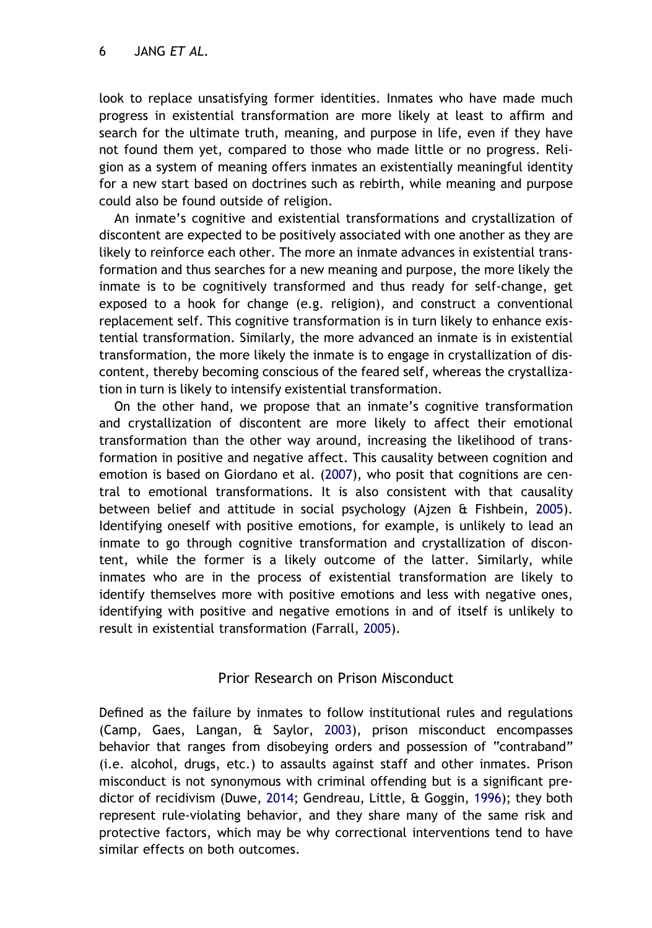<span id="page-6-0"></span>look to replace unsatisfying former identities. Inmates who have made much progress in existential transformation are more likely at least to affirm and search for the ultimate truth, meaning, and purpose in life, even if they have not found them yet, compared to those who made little or no progress. Religion as a system of meaning offers inmates an existentially meaningful identity for a new start based on doctrines such as rebirth, while meaning and purpose could also be found outside of religion.

An inmate's cognitive and existential transformations and crystallization of discontent are expected to be positively associated with one another as they are likely to reinforce each other. The more an inmate advances in existential transformation and thus searches for a new meaning and purpose, the more likely the inmate is to be cognitively transformed and thus ready for self-change, get exposed to a hook for change (e.g. religion), and construct a conventional replacement self. This cognitive transformation is in turn likely to enhance existential transformation. Similarly, the more advanced an inmate is in existential transformation, the more likely the inmate is to engage in crystallization of discontent, thereby becoming conscious of the feared self, whereas the crystallization in turn is likely to intensify existential transformation.

On the other hand, we propose that an inmate's cognitive transformation and crystallization of discontent are more likely to affect their emotional transformation than the other way around, increasing the likelihood of transformation in positive and negative affect. This causality between cognition and emotion is based on Giordano et al. ([2007\)](#page-25-0), who posit that cognitions are central to emotional transformations. It is also consistent with that causality between belief and attitude in social psychology (Ajzen & Fishbein, [2005](#page-24-0)). Identifying oneself with positive emotions, for example, is unlikely to lead an inmate to go through cognitive transformation and crystallization of discontent, while the former is a likely outcome of the latter. Similarly, while inmates who are in the process of existential transformation are likely to identify themselves more with positive emotions and less with negative ones, identifying with positive and negative emotions in and of itself is unlikely to result in existential transformation (Farrall, [2005](#page-25-0)).

# Prior Research on Prison Misconduct

Defined as the failure by inmates to follow institutional rules and regulations (Camp, Gaes, Langan, & Saylor, [2003](#page-24-0)), prison misconduct encompasses behavior that ranges from disobeying orders and possession of "contraband" (i.e. alcohol, drugs, etc.) to assaults against staff and other inmates. Prison misconduct is not synonymous with criminal offending but is a significant predictor of recidivism (Duwe, [2014](#page-24-0); Gendreau, Little, & Goggin, [1996\)](#page-25-0); they both represent rule-violating behavior, and they share many of the same risk and protective factors, which may be why correctional interventions tend to have similar effects on both outcomes.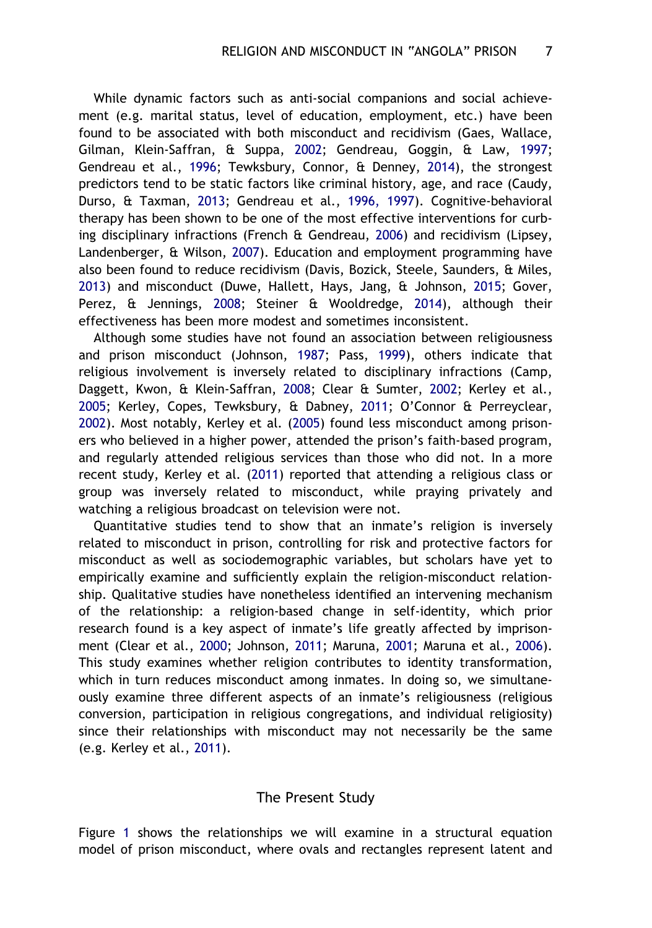<span id="page-7-0"></span>While dynamic factors such as anti-social companions and social achievement (e.g. marital status, level of education, employment, etc.) have been found to be associated with both misconduct and recidivism (Gaes, Wallace, Gilman, Klein-Saffran, & Suppa, [2002;](#page-25-0) Gendreau, Goggin, & Law, [1997;](#page-25-0) Gendreau et al., [1996](#page-25-0); Tewksbury, Connor, & Denney, [2014](#page-27-0)), the strongest predictors tend to be static factors like criminal history, age, and race (Caudy, Durso, & Taxman, [2013](#page-24-0); Gendreau et al., [1996, 1997\)](#page-25-0). Cognitive-behavioral therapy has been shown to be one of the most effective interventions for curbing disciplinary infractions (French & Gendreau, [2006](#page-25-0)) and recidivism (Lipsey, Landenberger, & Wilson, [2007](#page-26-0)). Education and employment programming have also been found to reduce recidivism (Davis, Bozick, Steele, Saunders, & Miles, [2013](#page-24-0)) and misconduct (Duwe, Hallett, Hays, Jang, & Johnson, [2015](#page-24-0); Gover, Perez, & Jennings, [2008](#page-25-0); Steiner & Wooldredge, [2014\)](#page-27-0), although their effectiveness has been more modest and sometimes inconsistent.

Although some studies have not found an association between religiousness and prison misconduct (Johnson, [1987;](#page-26-0) Pass, [1999\)](#page-26-0), others indicate that religious involvement is inversely related to disciplinary infractions (Camp, Daggett, Kwon, & Klein-Saffran, [2008](#page-24-0); Clear & Sumter, [2002](#page-24-0); Kerley et al., [2005](#page-26-0); Kerley, Copes, Tewksbury, & Dabney, [2011](#page-26-0); O'Connor & Perreyclear, [2002](#page-26-0)). Most notably, Kerley et al. [\(2005](#page-26-0)) found less misconduct among prisoners who believed in a higher power, attended the prison's faith-based program, and regularly attended religious services than those who did not. In a more recent study, Kerley et al. [\(2011](#page-26-0)) reported that attending a religious class or group was inversely related to misconduct, while praying privately and watching a religious broadcast on television were not.

Quantitative studies tend to show that an inmate's religion is inversely related to misconduct in prison, controlling for risk and protective factors for misconduct as well as sociodemographic variables, but scholars have yet to empirically examine and sufficiently explain the religion-misconduct relationship. Qualitative studies have nonetheless identified an intervening mechanism of the relationship: a religion-based change in self-identity, which prior research found is a key aspect of inmate's life greatly affected by imprisonment (Clear et al., [2000;](#page-24-0) Johnson, [2011](#page-26-0); Maruna, [2001;](#page-26-0) Maruna et al., [2006\)](#page-26-0). This study examines whether religion contributes to identity transformation, which in turn reduces misconduct among inmates. In doing so, we simultaneously examine three different aspects of an inmate's religiousness (religious conversion, participation in religious congregations, and individual religiosity) since their relationships with misconduct may not necessarily be the same (e.g. Kerley et al., [2011\)](#page-26-0).

#### The Present Study

Figure [1](#page-8-0) shows the relationships we will examine in a structural equation model of prison misconduct, where ovals and rectangles represent latent and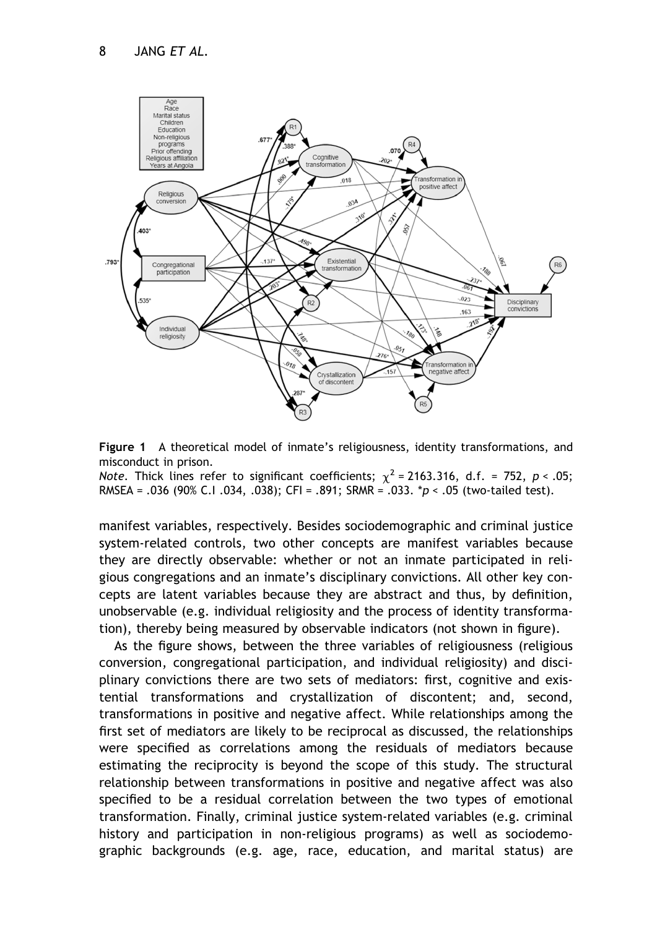<span id="page-8-0"></span>

Figure 1 A theoretical model of inmate's religiousness, identity transformations, and misconduct in prison.

Note. Thick lines refer to significant coefficients;  $\chi^2$  = 2163.316, d.f. = 752, p < .05; RMSEA = .036 (90% C.I .034, .038); CFI = .891; SRMR = .033. \*p < .05 (two-tailed test).

manifest variables, respectively. Besides sociodemographic and criminal justice system-related controls, two other concepts are manifest variables because they are directly observable: whether or not an inmate participated in religious congregations and an inmate's disciplinary convictions. All other key concepts are latent variables because they are abstract and thus, by definition, unobservable (e.g. individual religiosity and the process of identity transformation), thereby being measured by observable indicators (not shown in figure).

As the figure shows, between the three variables of religiousness (religious conversion, congregational participation, and individual religiosity) and disciplinary convictions there are two sets of mediators: first, cognitive and existential transformations and crystallization of discontent; and, second, transformations in positive and negative affect. While relationships among the first set of mediators are likely to be reciprocal as discussed, the relationships were specified as correlations among the residuals of mediators because estimating the reciprocity is beyond the scope of this study. The structural relationship between transformations in positive and negative affect was also specified to be a residual correlation between the two types of emotional transformation. Finally, criminal justice system-related variables (e.g. criminal history and participation in non-religious programs) as well as sociodemographic backgrounds (e.g. age, race, education, and marital status) are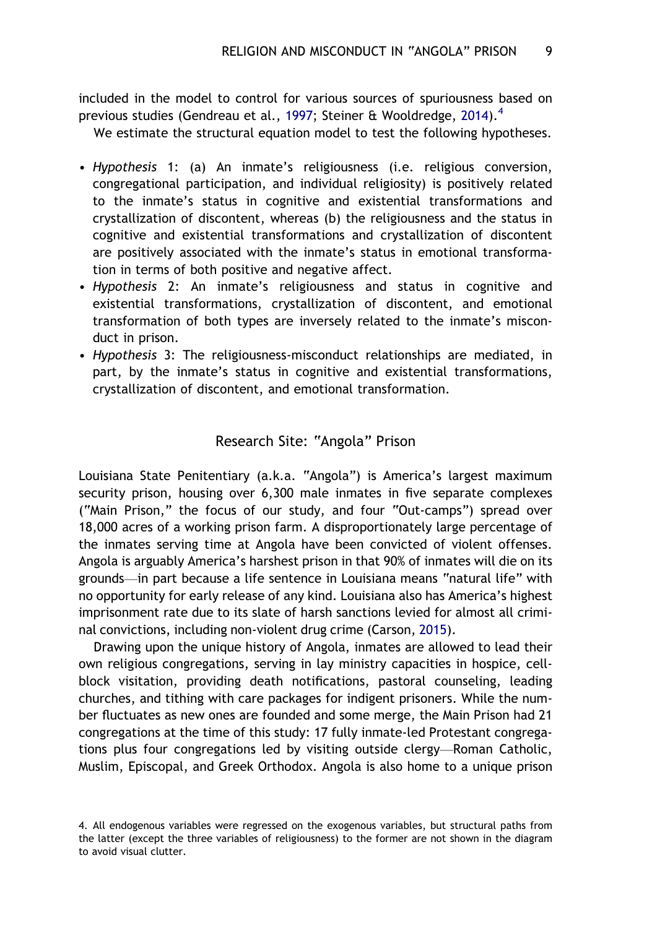<span id="page-9-0"></span>included in the model to control for various sources of spuriousness based on previous studies (Gendreau et al., [1997;](#page-25-0) Steiner & Wooldredge, [2014\)](#page-27-0).<sup>4</sup>

We estimate the structural equation model to test the following hypotheses.

- Hypothesis 1: (a) An inmate's religiousness (i.e. religious conversion, congregational participation, and individual religiosity) is positively related to the inmate's status in cognitive and existential transformations and crystallization of discontent, whereas (b) the religiousness and the status in cognitive and existential transformations and crystallization of discontent are positively associated with the inmate's status in emotional transformation in terms of both positive and negative affect.
- Hypothesis 2: An inmate's religiousness and status in cognitive and existential transformations, crystallization of discontent, and emotional transformation of both types are inversely related to the inmate's misconduct in prison.
- Hypothesis 3: The religiousness-misconduct relationships are mediated, in part, by the inmate's status in cognitive and existential transformations, crystallization of discontent, and emotional transformation.

### Research Site: "Angola" Prison

Louisiana State Penitentiary (a.k.a. "Angola") is America's largest maximum security prison, housing over 6,300 male inmates in five separate complexes ("Main Prison," the focus of our study, and four "Out-camps") spread over 18,000 acres of a working prison farm. A disproportionately large percentage of the inmates serving time at Angola have been convicted of violent offenses. Angola is arguably America's harshest prison in that 90% of inmates will die on its grounds—in part because a life sentence in Louisiana means "natural life" with no opportunity for early release of any kind. Louisiana also has America's highest imprisonment rate due to its slate of harsh sanctions levied for almost all criminal convictions, including non-violent drug crime (Carson, [2015](#page-24-0)).

Drawing upon the unique history of Angola, inmates are allowed to lead their own religious congregations, serving in lay ministry capacities in hospice, cellblock visitation, providing death notifications, pastoral counseling, leading churches, and tithing with care packages for indigent prisoners. While the number fluctuates as new ones are founded and some merge, the Main Prison had 21 congregations at the time of this study: 17 fully inmate-led Protestant congregations plus four congregations led by visiting outside clergy—Roman Catholic, Muslim, Episcopal, and Greek Orthodox. Angola is also home to a unique prison

<sup>4.</sup> All endogenous variables were regressed on the exogenous variables, but structural paths from the latter (except the three variables of religiousness) to the former are not shown in the diagram to avoid visual clutter.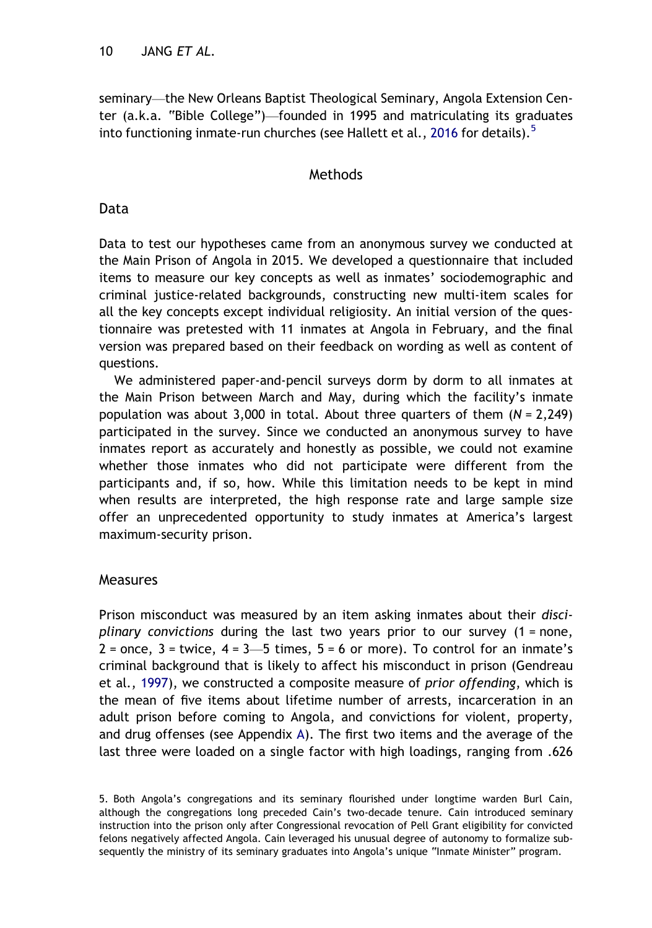<span id="page-10-0"></span>seminary—the New Orleans Baptist Theological Seminary, Angola Extension Center (a.k.a. "Bible College")—founded in 1995 and matriculating its graduates into functioning inmate-run churches (see Hallett et al., [2016](#page-25-0) for details).<sup>5</sup>

# Methods

# Data

Data to test our hypotheses came from an anonymous survey we conducted at the Main Prison of Angola in 2015. We developed a questionnaire that included items to measure our key concepts as well as inmates' sociodemographic and criminal justice-related backgrounds, constructing new multi-item scales for all the key concepts except individual religiosity. An initial version of the questionnaire was pretested with 11 inmates at Angola in February, and the final version was prepared based on their feedback on wording as well as content of questions.

We administered paper-and-pencil surveys dorm by dorm to all inmates at the Main Prison between March and May, during which the facility's inmate population was about 3,000 in total. About three quarters of them  $(N = 2,249)$ participated in the survey. Since we conducted an anonymous survey to have inmates report as accurately and honestly as possible, we could not examine whether those inmates who did not participate were different from the participants and, if so, how. While this limitation needs to be kept in mind when results are interpreted, the high response rate and large sample size offer an unprecedented opportunity to study inmates at America's largest maximum-security prison.

# Measures

Prison misconduct was measured by an item asking inmates about their disciplinary convictions during the last two years prior to our survey  $(1 = none,$  $2 =$  once,  $3 =$  twice,  $4 = 3 - 5$  times,  $5 = 6$  or more). To control for an inmate's criminal background that is likely to affect his misconduct in prison (Gendreau et al., [1997](#page-25-0)), we constructed a composite measure of prior offending, which is the mean of five items about lifetime number of arrests, incarceration in an adult prison before coming to Angola, and convictions for violent, property, and drug offenses (see Appendix [A\)](#page-28-0). The first two items and the average of the last three were loaded on a single factor with high loadings, ranging from .626

<sup>5.</sup> Both Angola's congregations and its seminary flourished under longtime warden Burl Cain, although the congregations long preceded Cain's two-decade tenure. Cain introduced seminary instruction into the prison only after Congressional revocation of Pell Grant eligibility for convicted felons negatively affected Angola. Cain leveraged his unusual degree of autonomy to formalize subsequently the ministry of its seminary graduates into Angola's unique "Inmate Minister" program.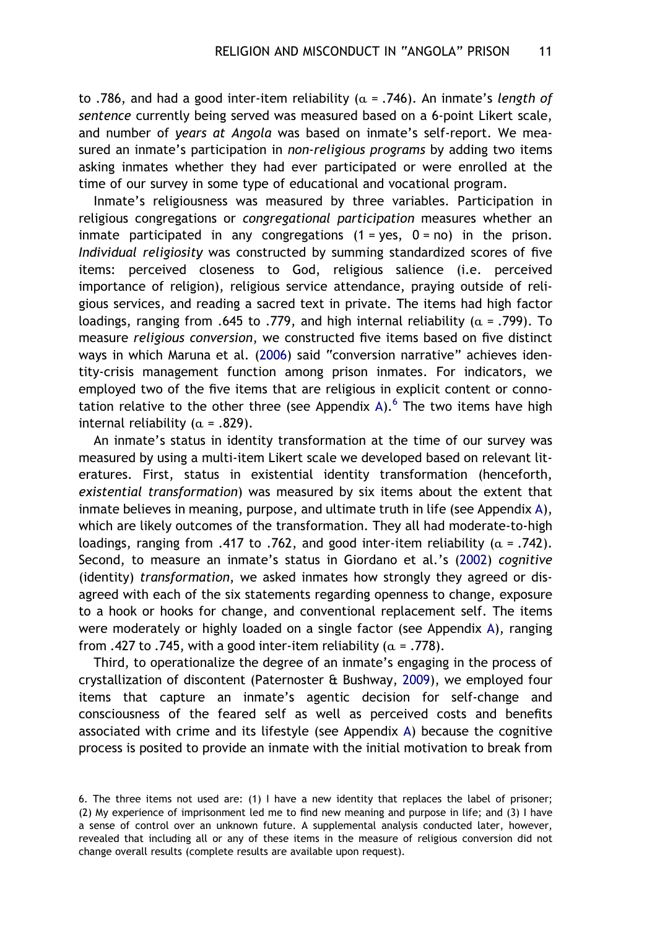to .786, and had a good inter-item reliability ( $\alpha$  = .746). An inmate's length of sentence currently being served was measured based on a 6-point Likert scale, and number of years at Angola was based on inmate's self-report. We measured an inmate's participation in non-religious programs by adding two items asking inmates whether they had ever participated or were enrolled at the time of our survey in some type of educational and vocational program.

Inmate's religiousness was measured by three variables. Participation in religious congregations or congregational participation measures whether an inmate participated in any congregations  $(1 = yes, 0 = no)$  in the prison. Individual religiosity was constructed by summing standardized scores of five items: perceived closeness to God, religious salience (i.e. perceived importance of religion), religious service attendance, praying outside of religious services, and reading a sacred text in private. The items had high factor loadings, ranging from .645 to .779, and high internal reliability ( $\alpha$  = .799). To measure religious conversion, we constructed five items based on five distinct ways in which Maruna et al. [\(2006](#page-26-0)) said "conversion narrative" achieves identity-crisis management function among prison inmates. For indicators, we employed two of the five items that are religious in explicit content or conno-tation relative to the other three (see Appendix [A\)](#page-28-0).<sup>6</sup> The two items have high internal reliability  $(a = .829)$ .

An inmate's status in identity transformation at the time of our survey was measured by using a multi-item Likert scale we developed based on relevant literatures. First, status in existential identity transformation (henceforth, existential transformation) was measured by six items about the extent that inmate believes in meaning, purpose, and ultimate truth in life (see Appendix [A\)](#page-28-0), which are likely outcomes of the transformation. They all had moderate-to-high loadings, ranging from .417 to .762, and good inter-item reliability ( $\alpha$  = .742). Second, to measure an inmate's status in Giordano et al.'s ([2002\)](#page-25-0) cognitive (identity) transformation, we asked inmates how strongly they agreed or disagreed with each of the six statements regarding openness to change, exposure to a hook or hooks for change, and conventional replacement self. The items were moderately or highly loaded on a single factor (see Appendix [A](#page-28-0)), ranging from .427 to .745, with a good inter-item reliability ( $\alpha$  = .778).

Third, to operationalize the degree of an inmate's engaging in the process of crystallization of discontent (Paternoster & Bushway, [2009\)](#page-27-0), we employed four items that capture an inmate's agentic decision for self-change and consciousness of the feared self as well as perceived costs and benefits associated with crime and its lifestyle (see Appendix [A](#page-28-0)) because the cognitive process is posited to provide an inmate with the initial motivation to break from

<sup>6.</sup> The three items not used are: (1) I have a new identity that replaces the label of prisoner; (2) My experience of imprisonment led me to find new meaning and purpose in life; and (3) I have a sense of control over an unknown future. A supplemental analysis conducted later, however, revealed that including all or any of these items in the measure of religious conversion did not change overall results (complete results are available upon request).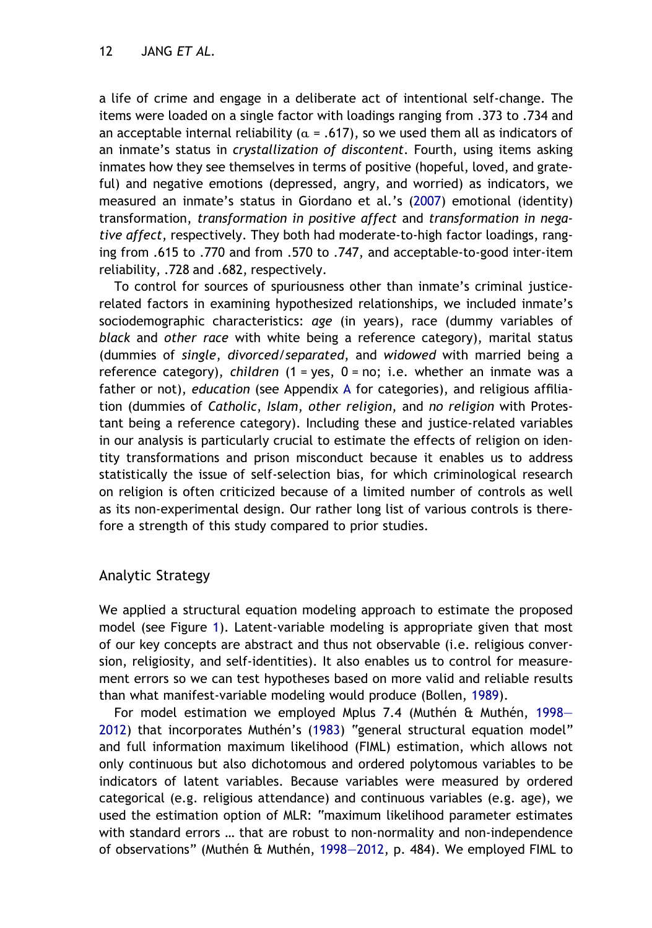<span id="page-12-0"></span>a life of crime and engage in a deliberate act of intentional self-change. The items were loaded on a single factor with loadings ranging from .373 to .734 and an acceptable internal reliability ( $\alpha$  = .617), so we used them all as indicators of an inmate's status in *crystallization of discontent*. Fourth, using items asking inmates how they see themselves in terms of positive (hopeful, loved, and grateful) and negative emotions (depressed, angry, and worried) as indicators, we measured an inmate's status in Giordano et al.'s ([2007\)](#page-25-0) emotional (identity) transformation, transformation in positive affect and transformation in negative affect, respectively. They both had moderate-to-high factor loadings, ranging from .615 to .770 and from .570 to .747, and acceptable-to-good inter-item reliability, .728 and .682, respectively.

To control for sources of spuriousness other than inmate's criminal justicerelated factors in examining hypothesized relationships, we included inmate's sociodemographic characteristics: age (in years), race (dummy variables of black and other race with white being a reference category), marital status (dummies of single, divorced/separated, and widowed with married being a reference category), children  $(1 = yes, 0 = no; i.e.$  whether an inmate was a father or not), education (see Appendix [A](#page-28-0) for categories), and religious affiliation (dummies of Catholic, Islam, other religion, and no religion with Protestant being a reference category). Including these and justice-related variables in our analysis is particularly crucial to estimate the effects of religion on identity transformations and prison misconduct because it enables us to address statistically the issue of self-selection bias, for which criminological research on religion is often criticized because of a limited number of controls as well as its non-experimental design. Our rather long list of various controls is therefore a strength of this study compared to prior studies.

# Analytic Strategy

We applied a structural equation modeling approach to estimate the proposed model (see Figure [1](#page-8-0)). Latent-variable modeling is appropriate given that most of our key concepts are abstract and thus not observable (i.e. religious conversion, religiosity, and self-identities). It also enables us to control for measurement errors so we can test hypotheses based on more valid and reliable results than what manifest-variable modeling would produce (Bollen, [1989\)](#page-24-0).

For model estimation we employed Mplus 7.4 (Muthén  $\text{ft}$  Muthén, [1998–](#page-26-0) [2012\)](#page-26-0) that incorporates Muthén's ([1983](#page-26-0)) "general structural equation model" and full information maximum likelihood (FIML) estimation, which allows not only continuous but also dichotomous and ordered polytomous variables to be indicators of latent variables. Because variables were measured by ordered categorical (e.g. religious attendance) and continuous variables (e.g. age), we used the estimation option of MLR: "maximum likelihood parameter estimates with standard errors … that are robust to non-normality and non-independence of observations" (Muthén & Muthén, [1998–2012,](#page-26-0) p. 484). We employed FIML to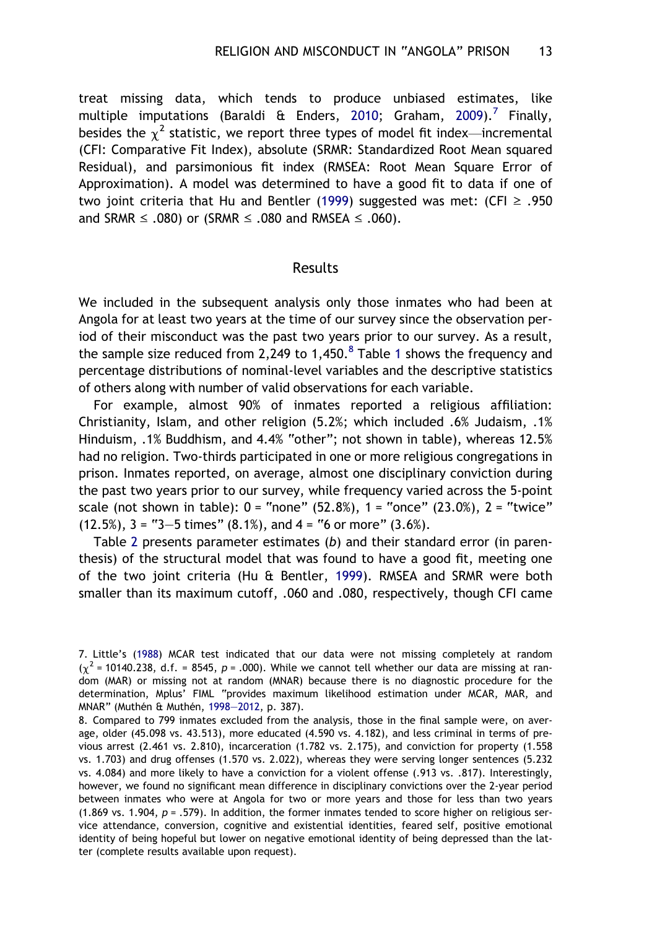<span id="page-13-0"></span>treat missing data, which tends to produce unbiased estimates, like multiple imputations (Baraldi & Enders, [2010;](#page-24-0) Graham, [2009\)](#page-25-0).<sup>7</sup> Finally, besides the  $\chi^2$  statistic, we report three types of model fit index—incremental (CFI: Comparative Fit Index), absolute (SRMR: Standardized Root Mean squared Residual), and parsimonious fit index (RMSEA: Root Mean Square Error of Approximation). A model was determined to have a good fit to data if one of two joint criteria that Hu and Bentler [\(1999\)](#page-25-0) suggested was met: (CFI  $\ge$  .950 and SRMR  $\leq$  .080) or (SRMR  $\leq$  .080 and RMSEA  $\leq$  .060).

### **Results**

We included in the subsequent analysis only those inmates who had been at Angola for at least two years at the time of our survey since the observation period of their misconduct was the past two years prior to our survey. As a result, the sample size reduced from 2,249 to [1](#page-14-0),450. $^8$  Table 1 shows the frequency and percentage distributions of nominal-level variables and the descriptive statistics of others along with number of valid observations for each variable.

For example, almost 90% of inmates reported a religious affiliation: Christianity, Islam, and other religion (5.2%; which included .6% Judaism, .1% Hinduism, .1% Buddhism, and 4.4% "other"; not shown in table), whereas 12.5% had no religion. Two-thirds participated in one or more religious congregations in prison. Inmates reported, on average, almost one disciplinary conviction during the past two years prior to our survey, while frequency varied across the 5-point scale (not shown in table):  $0 =$  "none" (52.8%),  $1 =$  "once" (23.0%),  $2 =$  "twice"  $(12.5\%), 3 = "3-5 \times" (8.1\%),$  and  $4 = "6 \text{ or more" } (3.6\%).$ 

Table [2](#page-16-0) presents parameter estimates (b) and their standard error (in parenthesis) of the structural model that was found to have a good fit, meeting one of the two joint criteria (Hu & Bentler, [1999\)](#page-25-0). RMSEA and SRMR were both smaller than its maximum cutoff, .060 and .080, respectively, though CFI came

<sup>7.</sup> Little's [\(1988\)](#page-26-0) MCAR test indicated that our data were not missing completely at random  $(\chi^2 = 10140.238, d.f. = 8545, p = .000)$ . While we cannot tell whether our data are missing at random (MAR) or missing not at random (MNAR) because there is no diagnostic procedure for the determination, Mplus' FIML "provides maximum likelihood estimation under MCAR, MAR, and MNAR" (Muthén & Muthén, [1998–2012,](#page-26-0) p. 387).

<sup>8.</sup> Compared to 799 inmates excluded from the analysis, those in the final sample were, on average, older (45.098 vs. 43.513), more educated (4.590 vs. 4.182), and less criminal in terms of previous arrest (2.461 vs. 2.810), incarceration (1.782 vs. 2.175), and conviction for property (1.558 vs. 1.703) and drug offenses (1.570 vs. 2.022), whereas they were serving longer sentences (5.232 vs. 4.084) and more likely to have a conviction for a violent offense (.913 vs. .817). Interestingly, however, we found no significant mean difference in disciplinary convictions over the 2-year period between inmates who were at Angola for two or more years and those for less than two years (1.869 vs. 1.904,  $p = .579$ ). In addition, the former inmates tended to score higher on religious service attendance, conversion, cognitive and existential identities, feared self, positive emotional identity of being hopeful but lower on negative emotional identity of being depressed than the latter (complete results available upon request).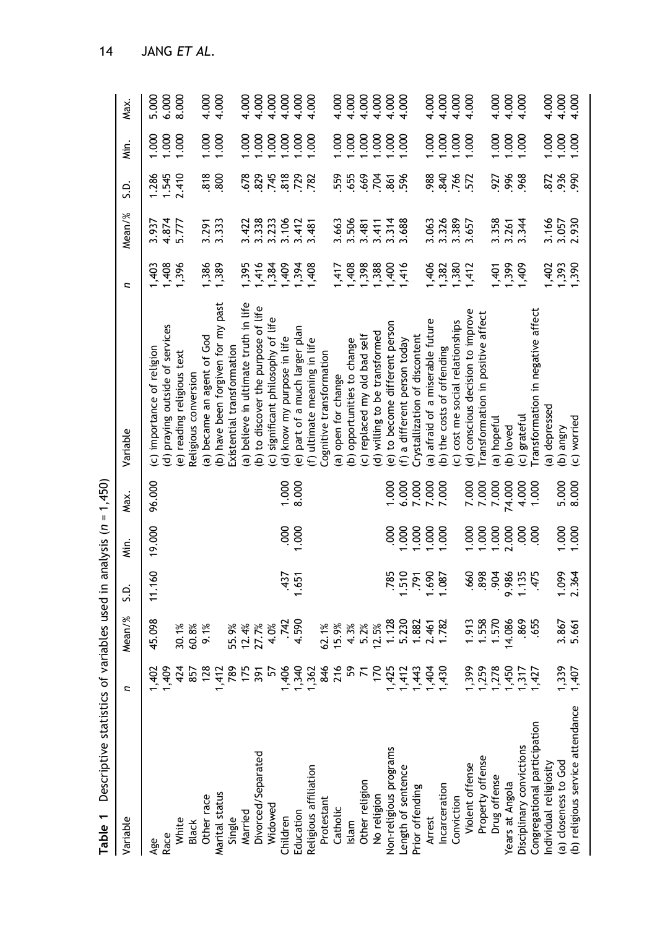<span id="page-14-0"></span>

| Descriptive statistics of variables used in analysis ( $n = 1,450$ )<br>Table 1 |                          |                                                        |                             |            |        |                                       |                                                                |                                                                |                               |               |                                          |
|---------------------------------------------------------------------------------|--------------------------|--------------------------------------------------------|-----------------------------|------------|--------|---------------------------------------|----------------------------------------------------------------|----------------------------------------------------------------|-------------------------------|---------------|------------------------------------------|
| Variable                                                                        | U                        | Mean/%                                                 | .<br>ة                      | λiη.       | Max.   | Variable                              | L.                                                             | Mean/%                                                         | ن<br>ن                        | Мin.          | Max.                                     |
| Age                                                                             |                          | 45.098                                                 | 11.160                      | 19.000     | 96.000 | (c) importance of religion            |                                                                | 3.937                                                          |                               | $\frac{8}{1}$ |                                          |
| Race                                                                            | $1,402$<br>$1,409$       |                                                        |                             |            |        | (d) praying outside of services       |                                                                | 4.874<br>5.777                                                 | $1.545$<br>$1.545$<br>$2.410$ |               | 5.000<br>6.000                           |
| White                                                                           | 424                      |                                                        |                             |            |        | e) reading religious text             | $488$<br>$-288$                                                |                                                                |                               | 1.000         |                                          |
| <b>Black</b>                                                                    | 857                      | 30.1%<br>GO.8%<br>9.1%                                 |                             |            |        | Religious conversion                  |                                                                |                                                                |                               |               |                                          |
| Other race                                                                      |                          |                                                        |                             |            |        | (a) became an agent of God            |                                                                |                                                                | 818                           | 1.000         | 4.000                                    |
| Marital status                                                                  | 1,412                    |                                                        |                             |            |        | (b) have been forgiven for my past    | 1,386<br>1,389                                                 | 3.291<br>3.333                                                 | .800                          |               |                                          |
| Single                                                                          |                          | 55.9%                                                  |                             |            |        | Existential transformation            |                                                                |                                                                |                               |               |                                          |
| Married                                                                         |                          |                                                        |                             |            |        | (a) believe in ultimate truth in life |                                                                |                                                                |                               | 1.000         |                                          |
| Divorced/Separated                                                              | <b>185</b><br>155<br>187 | $12.4%$<br>27.7%                                       |                             |            |        | (b) to discover the purpose of life   |                                                                | $3.333$<br>$3.333$<br>$3.106$<br>$3.481$<br>$3.481$<br>$3.481$ | <b>628480282</b><br>628580282 | 8888          | 444444                                   |
| Widowed                                                                         | 57                       | 4.0%                                                   |                             |            |        | c) significant philosophy of life     |                                                                |                                                                |                               |               |                                          |
| Children                                                                        | 1,406                    | 742<br>4.590                                           | .437                        | 000<br>000 | 1.000  | (d) know my purpose in life           |                                                                |                                                                |                               |               |                                          |
| Education                                                                       | 1,340                    |                                                        | 1.651                       |            | 8.000  | e) part of a much larger plan         |                                                                |                                                                |                               | 1.000         |                                          |
| Religious affiliation                                                           | 1,362                    |                                                        |                             |            |        | (f) ultimate meaning in life          |                                                                |                                                                |                               |               |                                          |
| Protestant                                                                      | 846<br>216               |                                                        |                             |            |        | Cognitive transformation              |                                                                |                                                                |                               |               |                                          |
| Catholic                                                                        |                          |                                                        |                             |            |        | (a) open for change                   |                                                                |                                                                |                               | $\frac{8}{1}$ | 4.000                                    |
| Islam                                                                           |                          |                                                        |                             |            |        | (b) opportunities to change           |                                                                |                                                                | 559<br>655                    |               |                                          |
| Other religion                                                                  | 57 Z<br>8                | $62.1%$<br>$75.3%$<br>$75.3%$<br>$5.2%$                |                             |            |        | (c) replaced my old bad self          | $1,417$<br>$1,408$<br>$1,388$<br>$1,408$<br>$1,416$<br>$1,416$ | 3.506<br>3.506<br>3.481                                        | $384$<br>$-35$                | 8880          | $4.000$<br>$4.000$<br>$4.000$<br>$4.000$ |
| No religion                                                                     |                          | 12.5%                                                  |                             |            |        | (d) willing to be transformed         |                                                                | 3.411<br>3.314<br>3.688                                        |                               |               |                                          |
| Non-religious programs                                                          | 425                      |                                                        |                             | 800        | 1.000  | e) to become different person         |                                                                |                                                                |                               | 1.000         |                                          |
| Length of sentence                                                              | 412                      | $\begin{array}{c} 1.128 \\ 5.230 \\ 1.882 \end{array}$ | 280<br>1967<br>2011<br>2012 | 8888       | 6.000  | (f) a different person today          |                                                                |                                                                | 596                           |               |                                          |
| Prior offending                                                                 | 43                       |                                                        |                             |            | 7.000  | Crystallization of discontent         |                                                                |                                                                |                               |               |                                          |
| Arrest                                                                          | $-404$                   | 2.461<br>1.782                                         |                             |            | 7.000  | (a) afraid of a miserable future      |                                                                |                                                                | 988                           | $\frac{8}{1}$ |                                          |
| Incarceration                                                                   | 430                      |                                                        |                             |            |        | (b) the costs of offending            |                                                                |                                                                |                               |               |                                          |
| Conviction                                                                      |                          |                                                        |                             |            |        | c) cost me social relationships       |                                                                | 3.063<br>3.326<br>3.389<br>3.657                               | 840                           | 8880          | $88888$<br>$8888$                        |
| Violent offense                                                                 | 399                      | $1.913$<br>$1.558$<br>$1.570$<br>$14.086$              |                             |            | 7.000  | (d) conscious decision to improve     |                                                                |                                                                |                               |               |                                          |
| Property offense                                                                |                          |                                                        |                             |            | 7.000  | Transformation in positive affect     |                                                                |                                                                |                               |               |                                          |
| Drug offense                                                                    |                          |                                                        |                             |            | 7.000  | a) hopeful                            |                                                                |                                                                |                               | 1.000         |                                          |
| Years at Angola                                                                 |                          |                                                        | 88.95<br>88.98.<br>98.99.   | 8888       | 74.000 | b) loved                              |                                                                | $3.358$<br>$3.261$<br>$3.344$                                  | 88<br>28<br>25<br>26          | 1.000         | $4.000$<br>$4.000$                       |
| Disciplinary convictions                                                        | 258<br>2755<br>2757      | .869<br>555.                                           | $1.135$<br>$.475$           | OOO.       | 4.000  | c) grateful                           |                                                                |                                                                |                               |               |                                          |
| Congregational participation                                                    |                          |                                                        |                             | .000       | 1.000  | Transformation in negative affect     |                                                                |                                                                |                               |               |                                          |
| Individual religiosity                                                          |                          |                                                        |                             |            |        | a) depressed                          |                                                                |                                                                |                               |               |                                          |
| (a) closeness to God                                                            | 339<br>407               | 3.867<br>5.661                                         | 1.099<br>2.364              | 1.000      | 5.000  | (b) angry                             |                                                                | 3.166<br>3.057<br>2.930                                        | 8788                          | 8880          | $4.000$<br>$4.000$                       |
| (b) religious service attendance                                                |                          |                                                        |                             |            | 8.000  | (c) worried                           |                                                                |                                                                |                               |               |                                          |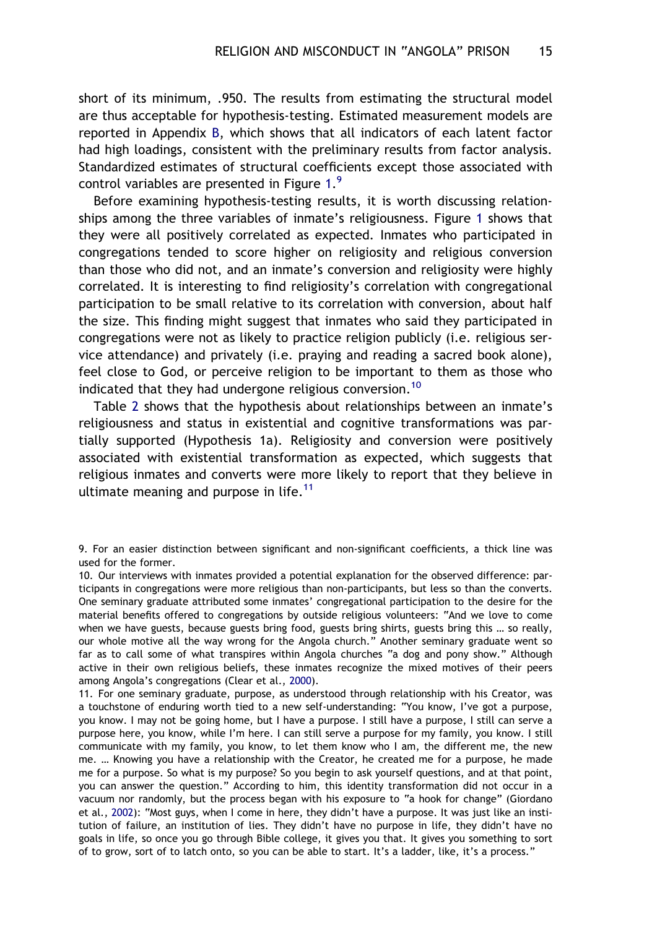short of its minimum, .950. The results from estimating the structural model are thus acceptable for hypothesis-testing. Estimated measurement models are reported in Appendix [B](#page-31-0), which shows that all indicators of each latent factor had high loadings, consistent with the preliminary results from factor analysis. Standardized estimates of structural coefficients except those associated with control variables are presented in Figure [1](#page-8-0). $^9$ 

Before examining hypothesis-testing results, it is worth discussing relationships among the three variables of inmate's religiousness. Figure [1](#page-8-0) shows that they were all positively correlated as expected. Inmates who participated in congregations tended to score higher on religiosity and religious conversion than those who did not, and an inmate's conversion and religiosity were highly correlated. It is interesting to find religiosity's correlation with congregational participation to be small relative to its correlation with conversion, about half the size. This finding might suggest that inmates who said they participated in congregations were not as likely to practice religion publicly (i.e. religious service attendance) and privately (i.e. praying and reading a sacred book alone), feel close to God, or perceive religion to be important to them as those who indicated that they had undergone religious conversion.<sup>10</sup>

Table [2](#page-16-0) shows that the hypothesis about relationships between an inmate's religiousness and status in existential and cognitive transformations was partially supported (Hypothesis 1a). Religiosity and conversion were positively associated with existential transformation as expected, which suggests that religious inmates and converts were more likely to report that they believe in ultimate meaning and purpose in life.<sup>11</sup>

11. For one seminary graduate, purpose, as understood through relationship with his Creator, was a touchstone of enduring worth tied to a new self-understanding: "You know, I've got a purpose, you know. I may not be going home, but I have a purpose. I still have a purpose, I still can serve a purpose here, you know, while I'm here. I can still serve a purpose for my family, you know. I still communicate with my family, you know, to let them know who I am, the different me, the new me. … Knowing you have a relationship with the Creator, he created me for a purpose, he made me for a purpose. So what is my purpose? So you begin to ask yourself questions, and at that point, you can answer the question." According to him, this identity transformation did not occur in a vacuum nor randomly, but the process began with his exposure to "a hook for change" (Giordano et al., [2002\)](#page-25-0): "Most guys, when I come in here, they didn't have a purpose. It was just like an institution of failure, an institution of lies. They didn't have no purpose in life, they didn't have no goals in life, so once you go through Bible college, it gives you that. It gives you something to sort of to grow, sort of to latch onto, so you can be able to start. It's a ladder, like, it's a process."

<sup>9.</sup> For an easier distinction between significant and non-significant coefficients, a thick line was used for the former.

<sup>10.</sup> Our interviews with inmates provided a potential explanation for the observed difference: participants in congregations were more religious than non-participants, but less so than the converts. One seminary graduate attributed some inmates' congregational participation to the desire for the material benefits offered to congregations by outside religious volunteers: "And we love to come when we have guests, because guests bring food, guests bring shirts, guests bring this … so really, our whole motive all the way wrong for the Angola church." Another seminary graduate went so far as to call some of what transpires within Angola churches "a dog and pony show." Although active in their own religious beliefs, these inmates recognize the mixed motives of their peers among Angola's congregations (Clear et al., [2000\)](#page-24-0).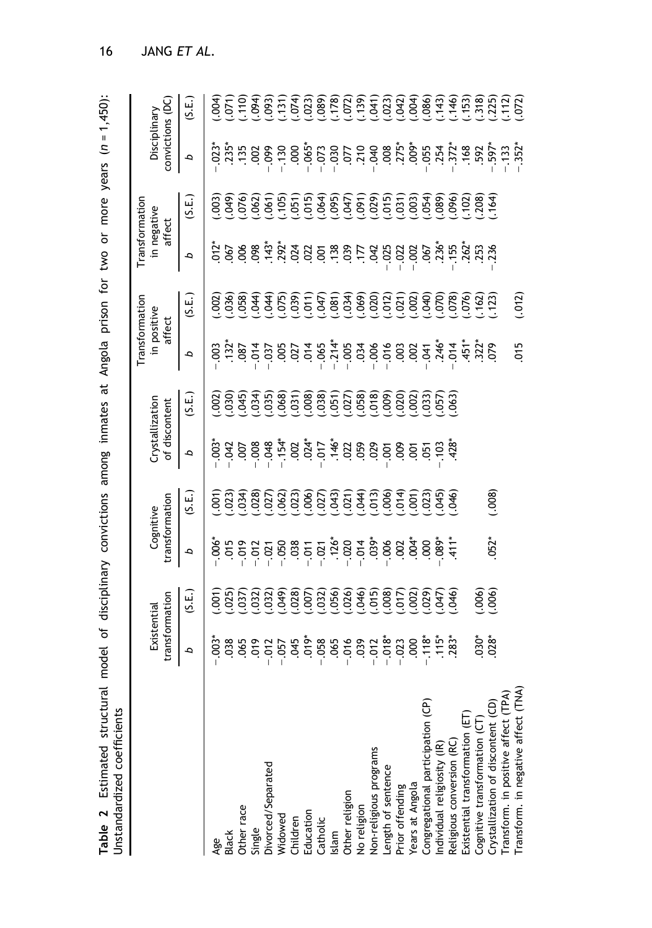<span id="page-16-0"></span>

| Table 2 Estimated structural<br>Unstandardized coefficients                | Ⴆ<br>model                 |                    | disciplinary convictions |       | among            | đ<br>inmates                                                                                    | Angola                        |        | prison for two or             | more             | years            | $(n = 1,450)$ : |
|----------------------------------------------------------------------------|----------------------------|--------------------|--------------------------|-------|------------------|-------------------------------------------------------------------------------------------------|-------------------------------|--------|-------------------------------|------------------|------------------|-----------------|
|                                                                            | Existential                |                    | Cognitive                |       | Crystallization  |                                                                                                 | Transformation<br>in positive |        | Transformation<br>in negative |                  | Disciplinary     |                 |
|                                                                            |                            | transformation     | transformation           |       | of discontent    |                                                                                                 | affect                        |        | affect                        |                  | convictions (DC) |                 |
|                                                                            | م                          | (S.E.)             | م                        | ίŠ.   | م                | (S.E.)                                                                                          | م                             | (S.E.) | م                             | (S.E.)           | q                | نا<br>ن         |
| Age                                                                        | $\ddot{5}$                 |                    | 80.                      |       | .003             | 002                                                                                             |                               | 002    | 012                           | $\overline{5}00$ |                  | 94              |
| <b>Black</b>                                                               | .038                       |                    |                          |       |                  | $030$<br>$-045$                                                                                 |                               |        | $-067$                        |                  |                  |                 |
| Other race                                                                 | 965<br>590.                |                    |                          |       |                  |                                                                                                 |                               |        |                               |                  |                  |                 |
|                                                                            |                            |                    |                          |       |                  | .034                                                                                            |                               |        |                               |                  |                  |                 |
| Single<br>Divorced/Separated<br>Widowed                                    | $-0.012$<br>$-0.057$       |                    |                          |       |                  | $.035$<br>$0.068$                                                                               |                               |        |                               |                  |                  |                 |
|                                                                            |                            |                    |                          |       |                  |                                                                                                 |                               |        |                               |                  |                  |                 |
| Children                                                                   |                            |                    |                          |       |                  |                                                                                                 |                               |        |                               |                  |                  |                 |
| Education                                                                  |                            |                    |                          |       |                  |                                                                                                 |                               |        |                               |                  |                  |                 |
| Catholic                                                                   | $-0.05$<br>$-0.05$         |                    |                          |       |                  | $(031)$<br>$(080)$<br>$(081)$<br>$(051)$<br>$(051)$<br>$(050)$<br>$(050)$<br>$(000)$<br>$(000)$ |                               |        |                               |                  |                  |                 |
| Islam                                                                      |                            |                    |                          |       |                  |                                                                                                 |                               |        |                               |                  |                  |                 |
| Other religion                                                             |                            |                    |                          |       |                  |                                                                                                 |                               |        |                               |                  |                  |                 |
| No religion                                                                | $-0.05$<br>$-0.05$         |                    |                          |       |                  |                                                                                                 |                               |        |                               |                  |                  |                 |
| Non-religious programs                                                     | $-012$<br>$-018$<br>$-023$ |                    |                          |       |                  |                                                                                                 |                               |        |                               |                  |                  |                 |
| ength of sentence                                                          |                            |                    |                          |       |                  |                                                                                                 |                               |        |                               |                  |                  |                 |
| Prior offending                                                            |                            |                    |                          |       |                  |                                                                                                 |                               |        |                               |                  |                  |                 |
| Years at Angola                                                            |                            |                    |                          |       | ē.               | .002                                                                                            |                               |        |                               |                  |                  |                 |
| Congregational participation (CP)                                          |                            |                    |                          |       |                  |                                                                                                 |                               |        |                               |                  |                  |                 |
| Individual religiosity (IR)                                                |                            | 0290<br>045<br>046 |                          |       | 55<br>503<br>428 | 39.93                                                                                           |                               |        |                               |                  |                  |                 |
| Religious conversion (RC)                                                  |                            |                    |                          |       |                  |                                                                                                 |                               |        |                               |                  |                  |                 |
| Existential transformation (ET                                             |                            |                    |                          |       |                  |                                                                                                 | $-451$                        |        |                               |                  | .168             |                 |
| Cognitive transformation (CT)                                              | 030*<br>028*               | (006)              |                          |       |                  |                                                                                                 | 322                           |        | .253                          |                  |                  |                 |
| Crystallization of discontent (CD)                                         |                            |                    | $052*$                   | (008) |                  |                                                                                                 |                               |        |                               |                  |                  |                 |
| Transform. in negative affect (TNA)<br>Transform. in positive affect (TPA) |                            |                    |                          |       |                  |                                                                                                 | 015                           | (.012) |                               |                  | $-55.32$         | .072            |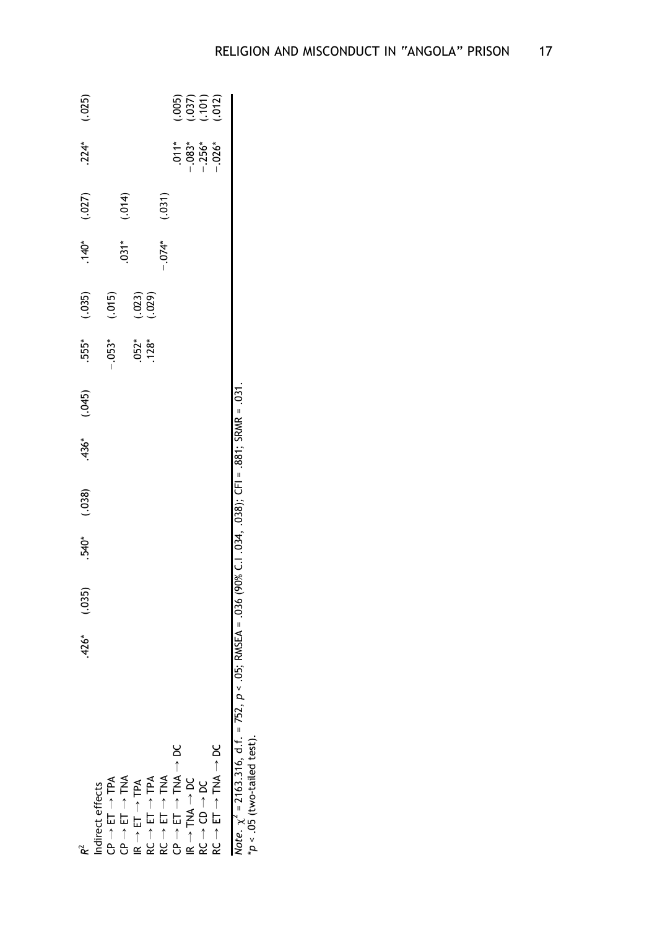|                                                                                                                                                                                                                                                                                                                                                                                                                                                                                                                                                                                                                                                | $.426*$ | (.035)                                                                                                          | $.540*$ | (.038) | $.436*$ | (.045) | $.555*$            | (.035)             | $.140*$  | (.027)  | $.224*$                                    | (.025)                          |
|------------------------------------------------------------------------------------------------------------------------------------------------------------------------------------------------------------------------------------------------------------------------------------------------------------------------------------------------------------------------------------------------------------------------------------------------------------------------------------------------------------------------------------------------------------------------------------------------------------------------------------------------|---------|-----------------------------------------------------------------------------------------------------------------|---------|--------|---------|--------|--------------------|--------------------|----------|---------|--------------------------------------------|---------------------------------|
| ndirect effects                                                                                                                                                                                                                                                                                                                                                                                                                                                                                                                                                                                                                                |         |                                                                                                                 |         |        |         |        |                    |                    |          |         |                                            |                                 |
|                                                                                                                                                                                                                                                                                                                                                                                                                                                                                                                                                                                                                                                |         |                                                                                                                 |         |        |         |        | $-.053*$           | (.015)             |          |         |                                            |                                 |
|                                                                                                                                                                                                                                                                                                                                                                                                                                                                                                                                                                                                                                                |         |                                                                                                                 |         |        |         |        |                    |                    | $.031*$  | (0.014) |                                            |                                 |
| $\begin{array}{l} \text{CP} \rightarrow \text{EP} \rightarrow \text{TPA} \nonumber\\ \text{CP} \rightarrow \text{ET} \rightarrow \text{TRA} \nonumber\\ \text{R} \rightarrow \text{ET} \rightarrow \text{TRA} \nonumber\\ \text{R} \rightarrow \text{ET} \rightarrow \text{TRA} \rightarrow \text{DC} \nonumber\\ \text{R} \rightarrow \text{ET} \rightarrow \text{TRA} \rightarrow \text{DC} \nonumber\\ \text{CP} \rightarrow \text{ET} \rightarrow \text{TRA} \rightarrow \text{DC} \nonumber\\ \text{R} \rightarrow \text{TC} \rightarrow \text{TC} \rightarrow \text{DC} \nonumber\\ \text{R} \rightarrow \text{CD} \rightarrow \text{DC$ |         |                                                                                                                 |         |        |         |        |                    |                    |          |         |                                            |                                 |
|                                                                                                                                                                                                                                                                                                                                                                                                                                                                                                                                                                                                                                                |         |                                                                                                                 |         |        |         |        | $.052*$<br>$.128*$ | $(023)$<br>$(029)$ |          |         |                                            |                                 |
|                                                                                                                                                                                                                                                                                                                                                                                                                                                                                                                                                                                                                                                |         |                                                                                                                 |         |        |         |        |                    |                    | $-0.07*$ | (.031)  |                                            |                                 |
|                                                                                                                                                                                                                                                                                                                                                                                                                                                                                                                                                                                                                                                |         |                                                                                                                 |         |        |         |        |                    |                    |          |         |                                            |                                 |
|                                                                                                                                                                                                                                                                                                                                                                                                                                                                                                                                                                                                                                                |         |                                                                                                                 |         |        |         |        |                    |                    |          |         |                                            |                                 |
|                                                                                                                                                                                                                                                                                                                                                                                                                                                                                                                                                                                                                                                |         |                                                                                                                 |         |        |         |        |                    |                    |          |         | $-0.83$<br>$-0.83$<br>$-0.756$<br>$-0.256$ |                                 |
|                                                                                                                                                                                                                                                                                                                                                                                                                                                                                                                                                                                                                                                |         |                                                                                                                 |         |        |         |        |                    |                    |          |         |                                            | 005)<br>0.037<br>0.012<br>0.012 |
| $\frac{1}{2}$ and $\frac{1}{2}$ and $\frac{1}{2}$ and $\frac{1}{2}$ and $\frac{1}{2}$ and $\frac{1}{2}$                                                                                                                                                                                                                                                                                                                                                                                                                                                                                                                                        |         | ved alternatives in the second of the second second second second second second the second second second second |         |        |         |        |                    |                    |          |         |                                            |                                 |

Note.  $\chi'$  = 2163.316, d.f. = 752, p < .05; RMSEA = .036 (90% C.I .034, .038); CFI = .881; SRMR = .031.<br>\*p < .05 (two-tailed test).  $\chi^2$  = 2163.316, d.f. = 752,  $p$  < .05; RMSEA = .036 (90% C.I .034, .038); CFI = .881; SRMR = .031. \*p < .05 (two-tailed test).

RELIGION AND MISCONDUCT IN "ANGOLA" PRISON 17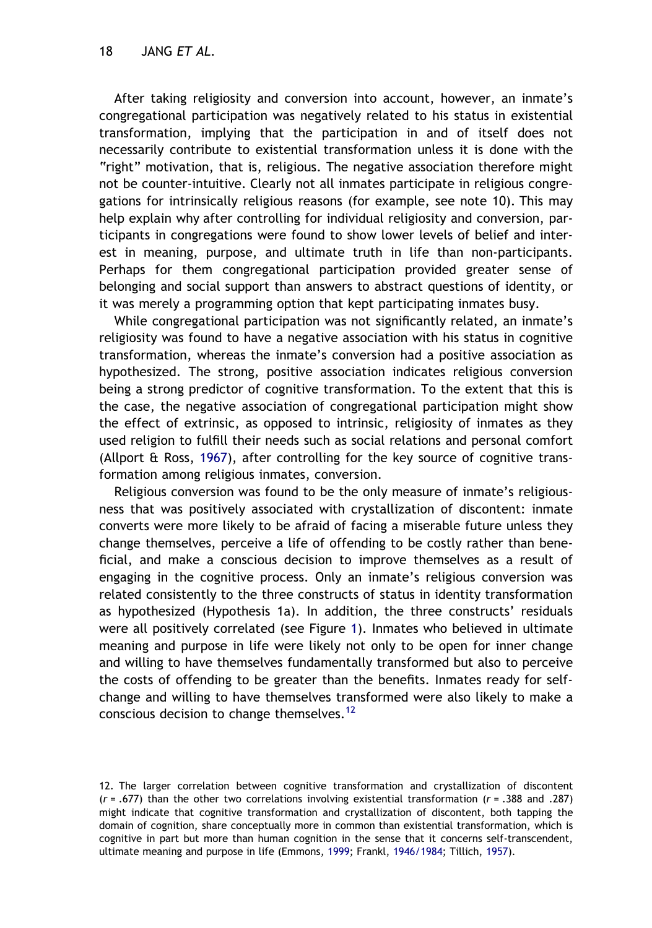<span id="page-18-0"></span>After taking religiosity and conversion into account, however, an inmate's congregational participation was negatively related to his status in existential transformation, implying that the participation in and of itself does not necessarily contribute to existential transformation unless it is done with the "right" motivation, that is, religious. The negative association therefore might not be counter-intuitive. Clearly not all inmates participate in religious congregations for intrinsically religious reasons (for example, see note 10). This may help explain why after controlling for individual religiosity and conversion, participants in congregations were found to show lower levels of belief and interest in meaning, purpose, and ultimate truth in life than non-participants. Perhaps for them congregational participation provided greater sense of belonging and social support than answers to abstract questions of identity, or it was merely a programming option that kept participating inmates busy.

While congregational participation was not significantly related, an inmate's religiosity was found to have a negative association with his status in cognitive transformation, whereas the inmate's conversion had a positive association as hypothesized. The strong, positive association indicates religious conversion being a strong predictor of cognitive transformation. To the extent that this is the case, the negative association of congregational participation might show the effect of extrinsic, as opposed to intrinsic, religiosity of inmates as they used religion to fulfill their needs such as social relations and personal comfort (Allport & Ross, [1967](#page-24-0)), after controlling for the key source of cognitive transformation among religious inmates, conversion.

Religious conversion was found to be the only measure of inmate's religiousness that was positively associated with crystallization of discontent: inmate converts were more likely to be afraid of facing a miserable future unless they change themselves, perceive a life of offending to be costly rather than beneficial, and make a conscious decision to improve themselves as a result of engaging in the cognitive process. Only an inmate's religious conversion was related consistently to the three constructs of status in identity transformation as hypothesized (Hypothesis 1a). In addition, the three constructs' residuals were all positively correlated (see Figure [1\)](#page-8-0). Inmates who believed in ultimate meaning and purpose in life were likely not only to be open for inner change and willing to have themselves fundamentally transformed but also to perceive the costs of offending to be greater than the benefits. Inmates ready for selfchange and willing to have themselves transformed were also likely to make a conscious decision to change themselves.<sup>12</sup>

12. The larger correlation between cognitive transformation and crystallization of discontent (r = .677) than the other two correlations involving existential transformation (r = .388 and .287) might indicate that cognitive transformation and crystallization of discontent, both tapping the domain of cognition, share conceptually more in common than existential transformation, which is cognitive in part but more than human cognition in the sense that it concerns self-transcendent, ultimate meaning and purpose in life (Emmons, [1999;](#page-25-0) Frankl, [1946/1984;](#page-25-0) Tillich, [1957\)](#page-27-0).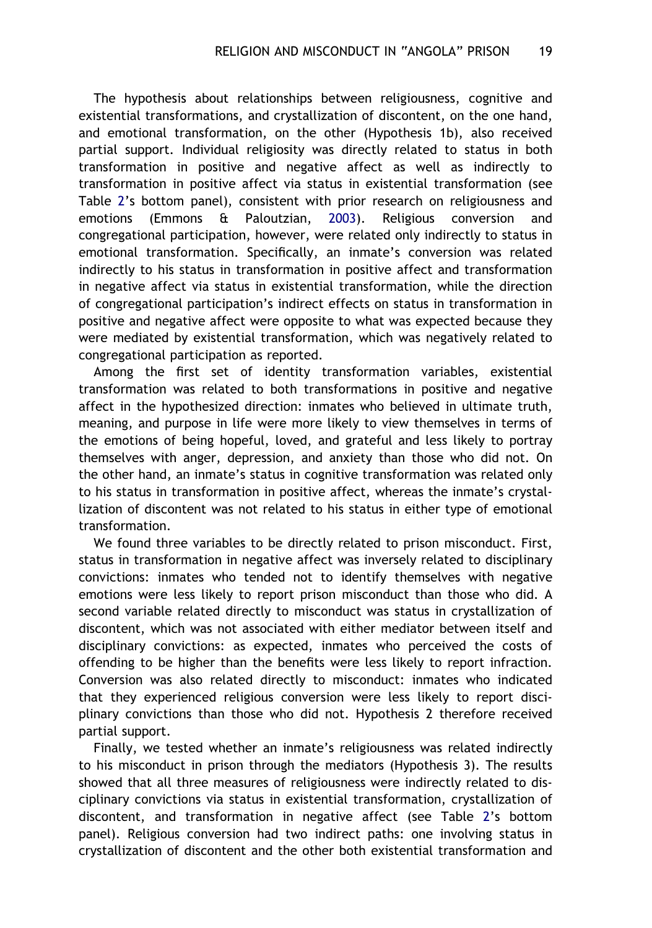<span id="page-19-0"></span>The hypothesis about relationships between religiousness, cognitive and existential transformations, and crystallization of discontent, on the one hand, and emotional transformation, on the other (Hypothesis 1b), also received partial support. Individual religiosity was directly related to status in both transformation in positive and negative affect as well as indirectly to transformation in positive affect via status in existential transformation (see Table [2](#page-16-0)'s bottom panel), consistent with prior research on religiousness and emotions (Emmons & Paloutzian, [2003\)](#page-25-0). Religious conversion and congregational participation, however, were related only indirectly to status in emotional transformation. Specifically, an inmate's conversion was related indirectly to his status in transformation in positive affect and transformation in negative affect via status in existential transformation, while the direction of congregational participation's indirect effects on status in transformation in positive and negative affect were opposite to what was expected because they were mediated by existential transformation, which was negatively related to congregational participation as reported.

Among the first set of identity transformation variables, existential transformation was related to both transformations in positive and negative affect in the hypothesized direction: inmates who believed in ultimate truth, meaning, and purpose in life were more likely to view themselves in terms of the emotions of being hopeful, loved, and grateful and less likely to portray themselves with anger, depression, and anxiety than those who did not. On the other hand, an inmate's status in cognitive transformation was related only to his status in transformation in positive affect, whereas the inmate's crystallization of discontent was not related to his status in either type of emotional transformation.

We found three variables to be directly related to prison misconduct. First, status in transformation in negative affect was inversely related to disciplinary convictions: inmates who tended not to identify themselves with negative emotions were less likely to report prison misconduct than those who did. A second variable related directly to misconduct was status in crystallization of discontent, which was not associated with either mediator between itself and disciplinary convictions: as expected, inmates who perceived the costs of offending to be higher than the benefits were less likely to report infraction. Conversion was also related directly to misconduct: inmates who indicated that they experienced religious conversion were less likely to report disciplinary convictions than those who did not. Hypothesis 2 therefore received partial support.

Finally, we tested whether an inmate's religiousness was related indirectly to his misconduct in prison through the mediators (Hypothesis 3). The results showed that all three measures of religiousness were indirectly related to disciplinary convictions via status in existential transformation, crystallization of discontent, and transformation in negative affect (see Table [2'](#page-16-0)s bottom panel). Religious conversion had two indirect paths: one involving status in crystallization of discontent and the other both existential transformation and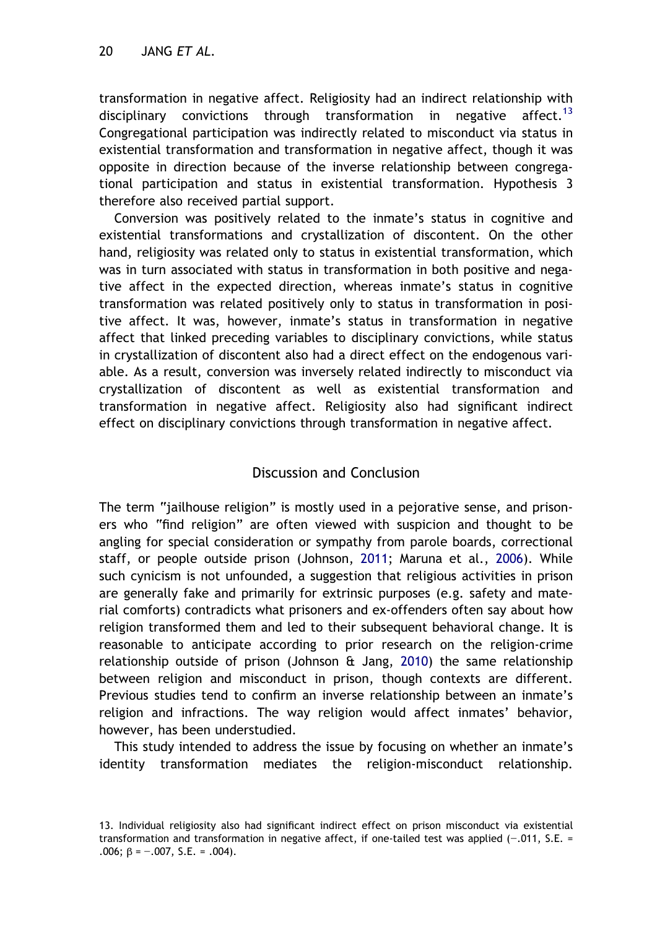transformation in negative affect. Religiosity had an indirect relationship with disciplinary convictions through transformation in negative affect.<sup>13</sup> Congregational participation was indirectly related to misconduct via status in existential transformation and transformation in negative affect, though it was opposite in direction because of the inverse relationship between congregational participation and status in existential transformation. Hypothesis 3 therefore also received partial support.

Conversion was positively related to the inmate's status in cognitive and existential transformations and crystallization of discontent. On the other hand, religiosity was related only to status in existential transformation, which was in turn associated with status in transformation in both positive and negative affect in the expected direction, whereas inmate's status in cognitive transformation was related positively only to status in transformation in positive affect. It was, however, inmate's status in transformation in negative affect that linked preceding variables to disciplinary convictions, while status in crystallization of discontent also had a direct effect on the endogenous variable. As a result, conversion was inversely related indirectly to misconduct via crystallization of discontent as well as existential transformation and transformation in negative affect. Religiosity also had significant indirect effect on disciplinary convictions through transformation in negative affect.

# Discussion and Conclusion

The term "jailhouse religion" is mostly used in a pejorative sense, and prisoners who "find religion" are often viewed with suspicion and thought to be angling for special consideration or sympathy from parole boards, correctional staff, or people outside prison (Johnson, [2011;](#page-26-0) Maruna et al., [2006](#page-26-0)). While such cynicism is not unfounded, a suggestion that religious activities in prison are generally fake and primarily for extrinsic purposes (e.g. safety and material comforts) contradicts what prisoners and ex-offenders often say about how religion transformed them and led to their subsequent behavioral change. It is reasonable to anticipate according to prior research on the religion-crime relationship outside of prison (Johnson & Jang, [2010](#page-26-0)) the same relationship between religion and misconduct in prison, though contexts are different. Previous studies tend to confirm an inverse relationship between an inmate's religion and infractions. The way religion would affect inmates' behavior, however, has been understudied.

This study intended to address the issue by focusing on whether an inmate's identity transformation mediates the religion-misconduct relationship.

<sup>13.</sup> Individual religiosity also had significant indirect effect on prison misconduct via existential transformation and transformation in negative affect, if one-tailed test was applied (−.011, S.E. = .006;  $β = -.007$ , S.E. = .004).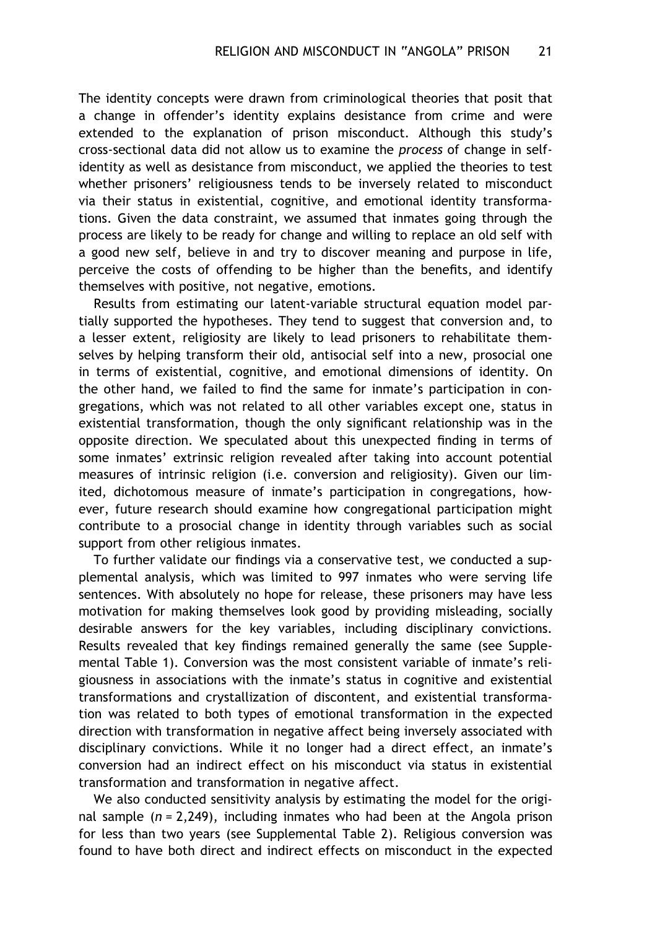The identity concepts were drawn from criminological theories that posit that a change in offender's identity explains desistance from crime and were extended to the explanation of prison misconduct. Although this study's cross-sectional data did not allow us to examine the process of change in selfidentity as well as desistance from misconduct, we applied the theories to test whether prisoners' religiousness tends to be inversely related to misconduct via their status in existential, cognitive, and emotional identity transformations. Given the data constraint, we assumed that inmates going through the process are likely to be ready for change and willing to replace an old self with a good new self, believe in and try to discover meaning and purpose in life, perceive the costs of offending to be higher than the benefits, and identify themselves with positive, not negative, emotions.

Results from estimating our latent-variable structural equation model partially supported the hypotheses. They tend to suggest that conversion and, to a lesser extent, religiosity are likely to lead prisoners to rehabilitate themselves by helping transform their old, antisocial self into a new, prosocial one in terms of existential, cognitive, and emotional dimensions of identity. On the other hand, we failed to find the same for inmate's participation in congregations, which was not related to all other variables except one, status in existential transformation, though the only significant relationship was in the opposite direction. We speculated about this unexpected finding in terms of some inmates' extrinsic religion revealed after taking into account potential measures of intrinsic religion (i.e. conversion and religiosity). Given our limited, dichotomous measure of inmate's participation in congregations, however, future research should examine how congregational participation might contribute to a prosocial change in identity through variables such as social support from other religious inmates.

To further validate our findings via a conservative test, we conducted a supplemental analysis, which was limited to 997 inmates who were serving life sentences. With absolutely no hope for release, these prisoners may have less motivation for making themselves look good by providing misleading, socially desirable answers for the key variables, including disciplinary convictions. Results revealed that key findings remained generally the same (see Supplemental Table 1). Conversion was the most consistent variable of inmate's religiousness in associations with the inmate's status in cognitive and existential transformations and crystallization of discontent, and existential transformation was related to both types of emotional transformation in the expected direction with transformation in negative affect being inversely associated with disciplinary convictions. While it no longer had a direct effect, an inmate's conversion had an indirect effect on his misconduct via status in existential transformation and transformation in negative affect.

We also conducted sensitivity analysis by estimating the model for the original sample  $(n = 2,249)$ , including inmates who had been at the Angola prison for less than two years (see Supplemental Table 2). Religious conversion was found to have both direct and indirect effects on misconduct in the expected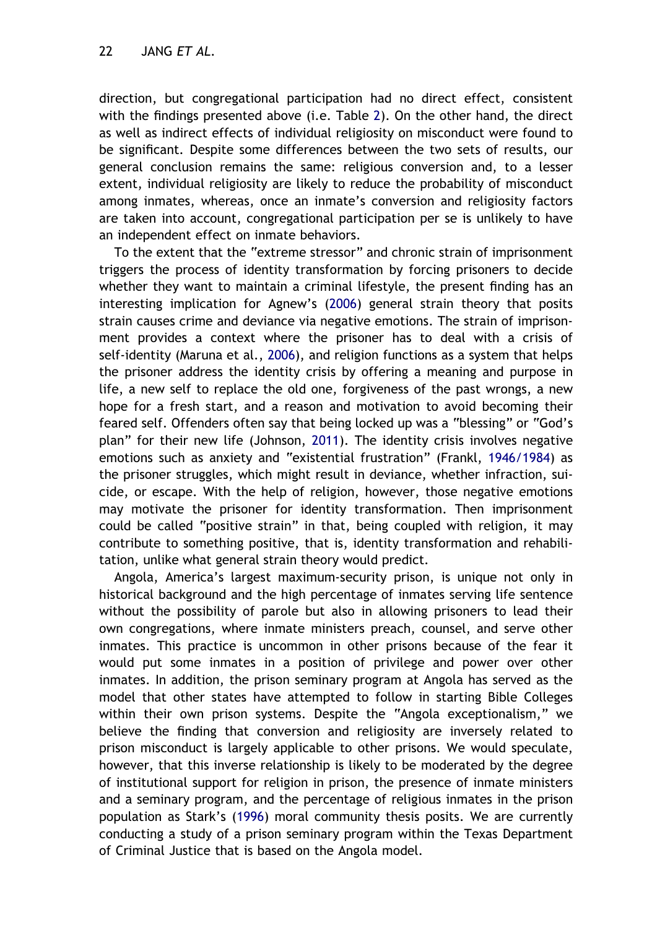<span id="page-22-0"></span>direction, but congregational participation had no direct effect, consistent with the findings presented above (i.e. Table [2\)](#page-16-0). On the other hand, the direct as well as indirect effects of individual religiosity on misconduct were found to be significant. Despite some differences between the two sets of results, our general conclusion remains the same: religious conversion and, to a lesser extent, individual religiosity are likely to reduce the probability of misconduct among inmates, whereas, once an inmate's conversion and religiosity factors are taken into account, congregational participation per se is unlikely to have an independent effect on inmate behaviors.

To the extent that the "extreme stressor" and chronic strain of imprisonment triggers the process of identity transformation by forcing prisoners to decide whether they want to maintain a criminal lifestyle, the present finding has an interesting implication for Agnew's [\(2006](#page-24-0)) general strain theory that posits strain causes crime and deviance via negative emotions. The strain of imprisonment provides a context where the prisoner has to deal with a crisis of self-identity (Maruna et al., [2006](#page-26-0)), and religion functions as a system that helps the prisoner address the identity crisis by offering a meaning and purpose in life, a new self to replace the old one, forgiveness of the past wrongs, a new hope for a fresh start, and a reason and motivation to avoid becoming their feared self. Offenders often say that being locked up was a "blessing" or "God's plan" for their new life (Johnson, [2011\)](#page-26-0). The identity crisis involves negative emotions such as anxiety and "existential frustration" (Frankl, [1946/1984](#page-25-0)) as the prisoner struggles, which might result in deviance, whether infraction, suicide, or escape. With the help of religion, however, those negative emotions may motivate the prisoner for identity transformation. Then imprisonment could be called "positive strain" in that, being coupled with religion, it may contribute to something positive, that is, identity transformation and rehabilitation, unlike what general strain theory would predict.

Angola, America's largest maximum-security prison, is unique not only in historical background and the high percentage of inmates serving life sentence without the possibility of parole but also in allowing prisoners to lead their own congregations, where inmate ministers preach, counsel, and serve other inmates. This practice is uncommon in other prisons because of the fear it would put some inmates in a position of privilege and power over other inmates. In addition, the prison seminary program at Angola has served as the model that other states have attempted to follow in starting Bible Colleges within their own prison systems. Despite the "Angola exceptionalism," we believe the finding that conversion and religiosity are inversely related to prison misconduct is largely applicable to other prisons. We would speculate, however, that this inverse relationship is likely to be moderated by the degree of institutional support for religion in prison, the presence of inmate ministers and a seminary program, and the percentage of religious inmates in the prison population as Stark's [\(1996\)](#page-27-0) moral community thesis posits. We are currently conducting a study of a prison seminary program within the Texas Department of Criminal Justice that is based on the Angola model.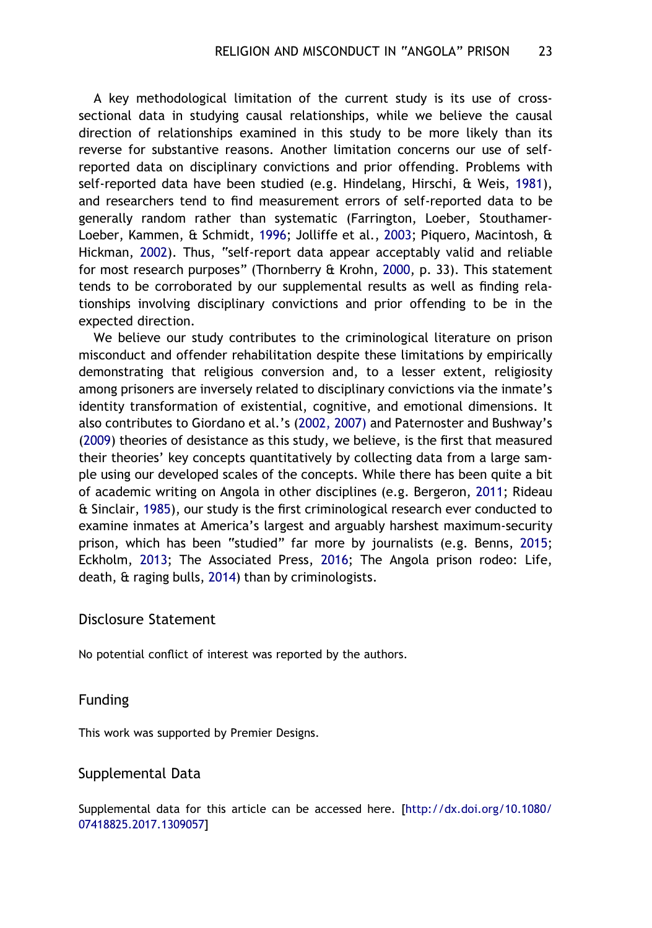<span id="page-23-0"></span>A key methodological limitation of the current study is its use of crosssectional data in studying causal relationships, while we believe the causal direction of relationships examined in this study to be more likely than its reverse for substantive reasons. Another limitation concerns our use of selfreported data on disciplinary convictions and prior offending. Problems with self-reported data have been studied (e.g. Hindelang, Hirschi, & Weis, [1981\)](#page-25-0), and researchers tend to find measurement errors of self-reported data to be generally random rather than systematic (Farrington, Loeber, Stouthamer-Loeber, Kammen, & Schmidt, [1996;](#page-25-0) Jolliffe et al., [2003;](#page-26-0) Piquero, Macintosh, & Hickman, [2002\)](#page-27-0). Thus, "self-report data appear acceptably valid and reliable for most research purposes" (Thornberry & Krohn, [2000,](#page-27-0) p. 33). This statement tends to be corroborated by our supplemental results as well as finding relationships involving disciplinary convictions and prior offending to be in the expected direction.

We believe our study contributes to the criminological literature on prison misconduct and offender rehabilitation despite these limitations by empirically demonstrating that religious conversion and, to a lesser extent, religiosity among prisoners are inversely related to disciplinary convictions via the inmate's identity transformation of existential, cognitive, and emotional dimensions. It also contributes to Giordano et al.'s ([2002, 2007\)](#page-25-0) and Paternoster and Bushway's [\(2009\)](#page-27-0) theories of desistance as this study, we believe, is the first that measured their theories' key concepts quantitatively by collecting data from a large sample using our developed scales of the concepts. While there has been quite a bit of academic writing on Angola in other disciplines (e.g. Bergeron, [2011;](#page-24-0) Rideau & Sinclair, [1985](#page-27-0)), our study is the first criminological research ever conducted to examine inmates at America's largest and arguably harshest maximum-security prison, which has been "studied" far more by journalists (e.g. Benns, [2015;](#page-24-0) Eckholm, [2013;](#page-25-0) The Associated Press, [2016;](#page-27-0) The Angola prison rodeo: Life, death, & raging bulls, [2014\)](#page-27-0) than by criminologists.

#### Disclosure Statement

No potential conflict of interest was reported by the authors.

#### Funding

This work was supported by Premier Designs.

#### Supplemental Data

Supplemental data for this article can be accessed here. [[http://dx.doi.org/10.1080/](http://dx.doi.org/10.1080/07418825.2017.1309057) [07418825.2017.1309057\]](http://dx.doi.org/10.1080/07418825.2017.1309057)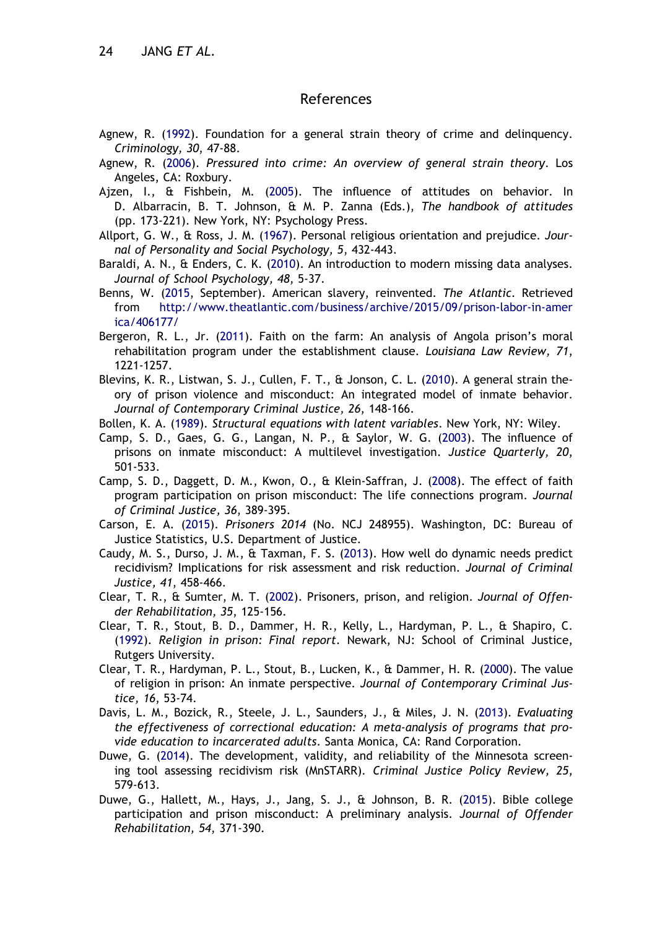#### References

- <span id="page-24-0"></span>Agnew, R. (1992). Foundation for a general strain theory of crime and delinquency. Criminology, 30, 47-88.
- Agnew, R. [\(2006\)](#page-22-0). Pressured into crime: An overview of general strain theory. Los Angeles, CA: Roxbury.
- Ajzen, I., & Fishbein, M. ([2005](#page-6-0)). The influence of attitudes on behavior. In D. Albarracin, B. T. Johnson, & M. P. Zanna (Eds.), The handbook of attitudes (pp. 173-221). New York, NY: Psychology Press.
- Allport, G. W., & Ross, J. M. ([1967](#page-18-0)). Personal religious orientation and prejudice. Journal of Personality and Social Psychology, 5, 432-443.
- Baraldi, A. N., & Enders, C. K. [\(2010\)](#page-13-0). An introduction to modern missing data analyses. Journal of School Psychology, 48, 5-37.
- Benns, W. [\(2015,](#page-23-0) September). American slavery, reinvented. The Atlantic. Retrieved from [http://www.theatlantic.com/business/archive/2015/09/prison-labor-in-amer](http://www.theatlantic.com/business/archive/2015/09/prison-labor-in-america/406177/) [ica/406177/](http://www.theatlantic.com/business/archive/2015/09/prison-labor-in-america/406177/)
- Bergeron, R. L., Jr. ([2011](#page-23-0)). Faith on the farm: An analysis of Angola prison's moral rehabilitation program under the establishment clause. Louisiana Law Review, 71, 1221-1257.
- Blevins, K. R., Listwan, S. J., Cullen, F. T., & Jonson, C. L. [\(2010\)](#page-2-0). A general strain theory of prison violence and misconduct: An integrated model of inmate behavior. Journal of Contemporary Criminal Justice, 26, 148-166.
- Bollen, K. A. [\(1989](#page-12-0)). Structural equations with latent variables. New York, NY: Wiley.
- Camp, S. D., Gaes, G. G., Langan, N. P., & Saylor, W. G. ([2003](#page-6-0)). The influence of prisons on inmate misconduct: A multilevel investigation. Justice Quarterly, 20, 501-533.
- Camp, S. D., Daggett, D. M., Kwon, O., & Klein-Saffran, J. [\(2008\)](#page-7-0). The effect of faith program participation on prison misconduct: The life connections program. Journal of Criminal Justice, 36, 389-395.
- Carson, E. A. [\(2015](#page-9-0)). Prisoners 2014 (No. NCJ 248955). Washington, DC: Bureau of Justice Statistics, U.S. Department of Justice.
- Caudy, M. S., Durso, J. M., & Taxman, F. S. [\(2013](#page-7-0)). How well do dynamic needs predict recidivism? Implications for risk assessment and risk reduction. Journal of Criminal Justice, 41, 458-466.
- Clear, T. R., & Sumter, M. T. ([2002](#page-2-0)). Prisoners, prison, and religion. Journal of Offender Rehabilitation, 35, 125-156.
- Clear, T. R., Stout, B. D., Dammer, H. R., Kelly, L., Hardyman, P. L., & Shapiro, C. ([1992\)](#page-2-0). Religion in prison: Final report. Newark, NJ: School of Criminal Justice, Rutgers University.
- Clear, T. R., Hardyman, P. L., Stout, B., Lucken, K., & Dammer, H. R. [\(2000](#page-2-0)). The value of religion in prison: An inmate perspective. Journal of Contemporary Criminal Justice, 16, 53-74.
- Davis, L. M., Bozick, R., Steele, J. L., Saunders, J., & Miles, J. N. [\(2013](#page-7-0)). Evaluating the effectiveness of correctional education: A meta-analysis of programs that provide education to incarcerated adults. Santa Monica, CA: Rand Corporation.
- Duwe, G. ([2014](#page-6-0)). The development, validity, and reliability of the Minnesota screening tool assessing recidivism risk (MnSTARR). Criminal Justice Policy Review, 25, 579-613.
- Duwe, G., Hallett, M., Hays, J., Jang, S. J., & Johnson, B. R. ([2015](#page-7-0)). Bible college participation and prison misconduct: A preliminary analysis. Journal of Offender Rehabilitation, 54, 371-390.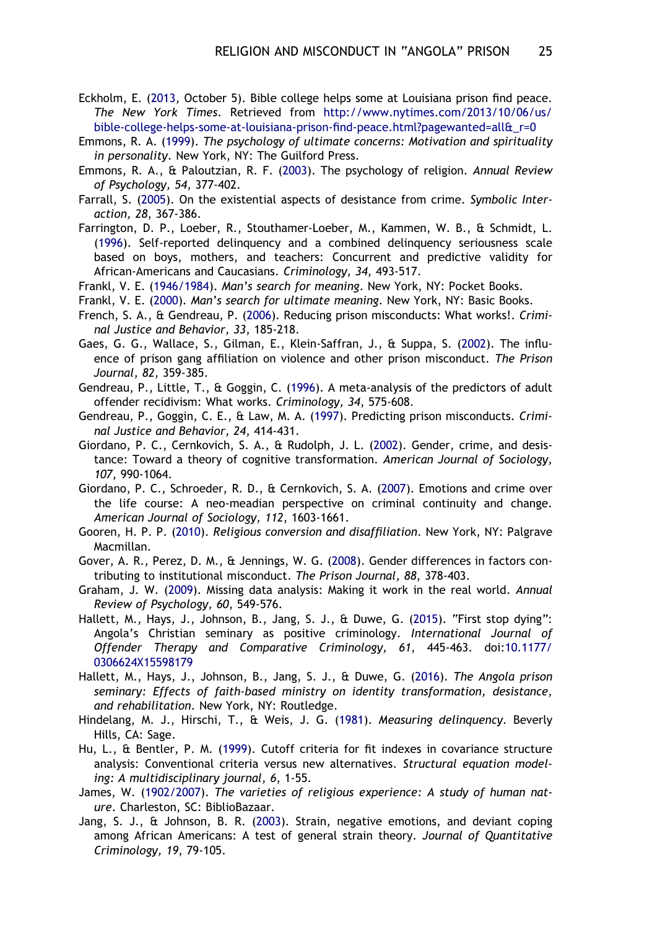- <span id="page-25-0"></span>Eckholm, E. [\(2013,](#page-23-0) October 5). Bible college helps some at Louisiana prison find peace. The New York Times. Retrieved from [http://www.nytimes.com/2013/10/06/us/](http://www.nytimes.com/2013/10/06/us/bible-college-helps-some-at-louisiana-prison-find-peace.html?pagewanted=all&_r=0) [bible-college-helps-some-at-louisiana-prison-find-peace.html?pagewanted=all&\\_r=0](http://www.nytimes.com/2013/10/06/us/bible-college-helps-some-at-louisiana-prison-find-peace.html?pagewanted=all&_r=0)
- Emmons, R. A. [\(1999](#page-5-0)). The psychology of ultimate concerns: Motivation and spirituality in personality. New York, NY: The Guilford Press.
- Emmons, R. A., & Paloutzian, R. F. ([2003](#page-19-0)). The psychology of religion. Annual Review of Psychology, 54, 377-402.
- Farrall, S. ([2005\)](#page-2-0). On the existential aspects of desistance from crime. Symbolic Interaction, 28, 367-386.
- Farrington, D. P., Loeber, R., Stouthamer-Loeber, M., Kammen, W. B., & Schmidt, L. [\(1996](#page-23-0)). Self-reported delinquency and a combined delinquency seriousness scale based on boys, mothers, and teachers: Concurrent and predictive validity for African-Americans and Caucasians. Criminology, 34, 493-517.
- Frankl, V. E. [\(1946/1984](#page-5-0)). Man's search for meaning. New York, NY: Pocket Books.
- Frankl, V. E. [\(2000\)](#page-5-0). Man's search for ultimate meaning. New York, NY: Basic Books.
- French, S. A., & Gendreau, P. ([2006](#page-7-0)). Reducing prison misconducts: What works!. Criminal Justice and Behavior, 33, 185-218.
- Gaes, G. G., Wallace, S., Gilman, E., Klein-Saffran, J., & Suppa, S. [\(2002\)](#page-7-0). The influence of prison gang affiliation on violence and other prison misconduct. The Prison Journal, 82, 359-385.
- Gendreau, P., Little, T., & Goggin, C. [\(1996\)](#page-6-0). A meta-analysis of the predictors of adult offender recidivism: What works. Criminology, 34, 575-608.
- Gendreau, P., Goggin, C. E., & Law, M. A. ([1997\)](#page-7-0). Predicting prison misconducts. Criminal Justice and Behavior, 24, 414-431.
- Giordano, P. C., Cernkovich, S. A., & Rudolph, J. L. ([2002](#page-2-0)). Gender, crime, and desistance: Toward a theory of cognitive transformation. American Journal of Sociology, 107, 990-1064.
- Giordano, P. C., Schroeder, R. D., & Cernkovich, S. A. ([2007](#page-2-0)). Emotions and crime over the life course: A neo-meadian perspective on criminal continuity and change. American Journal of Sociology, 112, 1603-1661.
- Gooren, H. P. P. [\(2010\)](#page-3-0). Religious conversion and disaffiliation. New York, NY: Palgrave Macmillan.
- Gover, A. R., Perez, D. M., & Jennings, W. G. [\(2008\)](#page-7-0). Gender differences in factors contributing to institutional misconduct. The Prison Journal, 88, 378-403.
- Graham, J. W. [\(2009](#page-13-0)). Missing data analysis: Making it work in the real world. Annual Review of Psychology, 60, 549-576.
- Hallett, M., Hays, J., Johnson, B., Jang, S. J., & Duwe, G. (2015). "First stop dying": Angola's Christian seminary as positive criminology. International Journal of Offender Therapy and Comparative Criminology, 61, 445-463. doi[:10.1177/](http://dx.doi.org/10.1177/0306624X15598179) [0306624X15598179](http://dx.doi.org/10.1177/0306624X15598179)
- Hallett, M., Hays, J., Johnson, B., Jang, S. J., & Duwe, G. [\(2016\)](#page-10-0). The Angola prison seminary: Effects of faith-based ministry on identity transformation, desistance, and rehabilitation. New York, NY: Routledge.
- Hindelang, M. J., Hirschi, T., & Weis, J. G. ([1981](#page-23-0)). Measuring delinquency. Beverly Hills, CA: Sage.
- Hu, L., & Bentler, P. M. [\(1999](#page-13-0)). Cutoff criteria for fit indexes in covariance structure analysis: Conventional criteria versus new alternatives. Structural equation modeling: A multidisciplinary journal, 6, 1-55.
- James, W. ([1902/2007\)](#page-3-0). The varieties of religious experience: A study of human nature. Charleston, SC: BiblioBazaar.
- Jang, S. J., & Johnson, B. R. ([2003\)](#page-2-0). Strain, negative emotions, and deviant coping among African Americans: A test of general strain theory. Journal of Quantitative Criminology, 19, 79-105.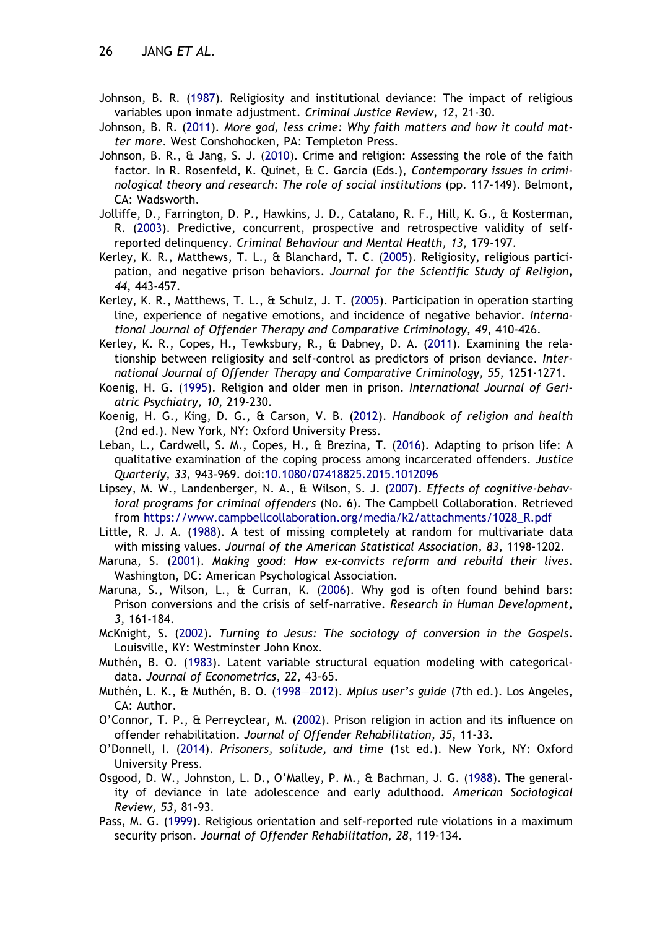- <span id="page-26-0"></span>Johnson, B. R. [\(1987\)](#page-7-0). Religiosity and institutional deviance: The impact of religious variables upon inmate adjustment. Criminal Justice Review, 12, 21-30.
- Johnson, B. R. [\(2011\)](#page-2-0). More god, less crime: Why faith matters and how it could matter more. West Conshohocken, PA: Templeton Press.
- Johnson, B. R., & Jang, S. J. ([2010](#page-2-0)). Crime and religion: Assessing the role of the faith factor. In R. Rosenfeld, K. Quinet, & C. Garcia (Eds.), Contemporary issues in criminological theory and research: The role of social institutions (pp. 117-149). Belmont, CA: Wadsworth.
- Jolliffe, D., Farrington, D. P., Hawkins, J. D., Catalano, R. F., Hill, K. G., & Kosterman, R. ([2003\)](#page-23-0). Predictive, concurrent, prospective and retrospective validity of selfreported delinquency. Criminal Behaviour and Mental Health, 13, 179-197.
- Kerley, K. R., Matthews, T. L., & Blanchard, T. C. [\(2005\)](#page-2-0). Religiosity, religious participation, and negative prison behaviors. Journal for the Scientific Study of Religion, 44, 443-457.
- Kerley, K. R., Matthews, T. L., & Schulz, J. T. [\(2005](#page-2-0)). Participation in operation starting line, experience of negative emotions, and incidence of negative behavior. International Journal of Offender Therapy and Comparative Criminology, 49, 410-426.
- Kerley, K. R., Copes, H., Tewksbury, R., & Dabney, D. A. ([2011](#page-7-0)). Examining the relationship between religiosity and self-control as predictors of prison deviance. International Journal of Offender Therapy and Comparative Criminology, 55, 1251-1271.
- Koenig, H. G. [\(1995](#page-2-0)). Religion and older men in prison. International Journal of Geriatric Psychiatry, 10, 219-230.
- Koenig, H. G., King, D. G., & Carson, V. B. ([2012](#page-5-0)). Handbook of religion and health (2nd ed.). New York, NY: Oxford University Press.
- Leban, L., Cardwell, S. M., Copes, H., & Brezina, T. ([2016\)](#page-2-0). Adapting to prison life: A qualitative examination of the coping process among incarcerated offenders. Justice Quarterly, 33, 943-969. doi:[10.1080/07418825.2015.1012096](http://dx.doi.org/10.1080/07418825.2015.1012096)
- Lipsey, M. W., Landenberger, N. A., & Wilson, S. J. ([2007](#page-7-0)). Effects of cognitive-behavioral programs for criminal offenders (No. 6). The Campbell Collaboration. Retrieved from [https://www.campbellcollaboration.org/media/k2/attachments/1028\\_R.pdf](https://www.campbellcollaboration.org/media/k2/attachments/1028_R.pdf)
- Little, R. J. A. [\(1988\)](#page-13-0). A test of missing completely at random for multivariate data with missing values. Journal of the American Statistical Association, 83, 1198-1202.
- Maruna, S. ([2001](#page-3-0)). Making good: How ex-convicts reform and rebuild their lives. Washington, DC: American Psychological Association.
- Maruna, S., Wilson, L., & Curran, K. [\(2006\)](#page-2-0). Why god is often found behind bars: Prison conversions and the crisis of self-narrative. Research in Human Development, 3, 161-184.
- McKnight, S. [\(2002](#page-3-0)). Turning to Jesus: The sociology of conversion in the Gospels. Louisville, KY: Westminster John Knox.
- Muthén, B. O. [\(1983\)](#page-12-0). Latent variable structural equation modeling with categoricaldata. Journal of Econometrics, 22, 43-65.
- Muthén, L. K., & Muthén, B. O. ([1998–2012\)](#page-12-0). Mplus user's guide (7th ed.). Los Angeles, CA: Author.
- O'Connor, T. P., & Perreyclear, M. ([2002](#page-2-0)). Prison religion in action and its influence on offender rehabilitation. Journal of Offender Rehabilitation, 35, 11-33.
- O'Donnell, I. ([2014](#page-3-0)). Prisoners, solitude, and time (1st ed.). New York, NY: Oxford University Press.
- Osgood, D. W., Johnston, L. D., O'Malley, P. M., & Bachman, J. G. [\(1988\)](#page-4-0). The generality of deviance in late adolescence and early adulthood. American Sociological Review, 53, 81-93.
- Pass, M. G. [\(1999\)](#page-7-0). Religious orientation and self-reported rule violations in a maximum security prison. Journal of Offender Rehabilitation, 28, 119-134.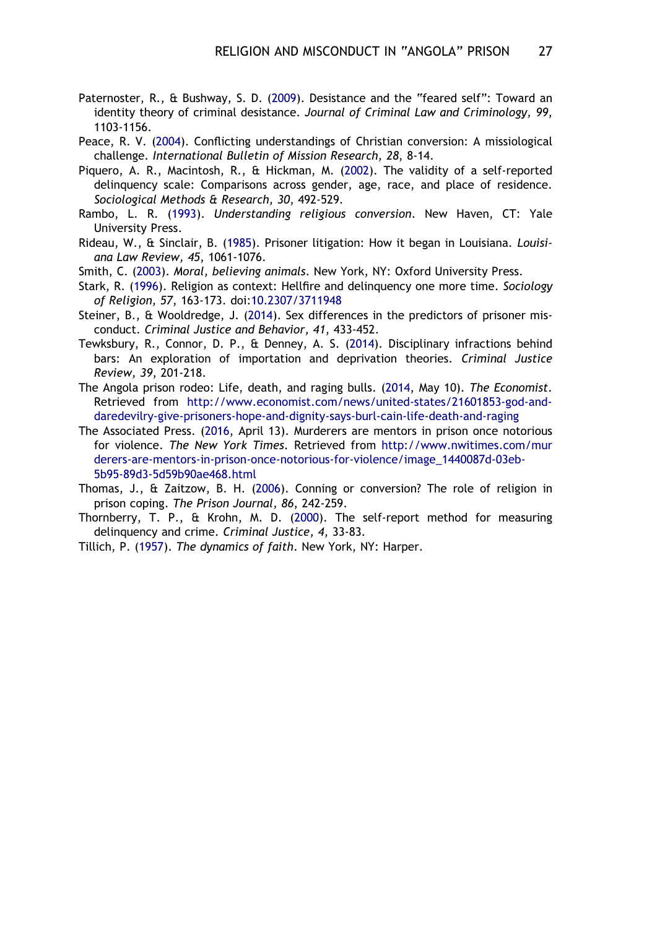- <span id="page-27-0"></span>Paternoster, R., & Bushway, S. D. ([2009](#page-2-0)). Desistance and the "feared self": Toward an identity theory of criminal desistance. Journal of Criminal Law and Criminology, 99, 1103-1156.
- Peace, R. V. [\(2004\)](#page-3-0). Conflicting understandings of Christian conversion: A missiological challenge. International Bulletin of Mission Research, 28, 8-14.
- Piquero, A. R., Macintosh, R., & Hickman, M. ([2002](#page-23-0)). The validity of a self-reported delinquency scale: Comparisons across gender, age, race, and place of residence. Sociological Methods & Research, 30, 492-529.
- Rambo, L. R. [\(1993\)](#page-3-0). Understanding religious conversion. New Haven, CT: Yale University Press.
- Rideau, W., & Sinclair, B. ([1985](#page-23-0)). Prisoner litigation: How it began in Louisiana. Louisiana Law Review, 45, 1061-1076.
- Smith, C. [\(2003](#page-3-0)). Moral, believing animals. New York, NY: Oxford University Press.
- Stark, R. [\(1996\)](#page-22-0). Religion as context: Hellfire and delinquency one more time. Sociology of Religion, 57, 163-173. doi[:10.2307/3711948](http://dx.doi.org/10.2307/3711948)
- Steiner, B., & Wooldredge, J. ([2014](#page-7-0)). Sex differences in the predictors of prisoner misconduct. Criminal Justice and Behavior, 41, 433-452.
- Tewksbury, R., Connor, D. P., & Denney, A. S. ([2014](#page-7-0)). Disciplinary infractions behind bars: An exploration of importation and deprivation theories. Criminal Justice Review, 39, 201-218.
- The Angola prison rodeo: Life, death, and raging bulls. ([2014](#page-23-0), May 10). The Economist. Retrieved from [http://www.economist.com/news/united-states/21601853-god-and](http://www.economist.com/news/united-states/21601853-god-and-daredevilry-give-prisoners-hope-and-dignity-says-burl-cain-life-death-and-raging)[daredevilry-give-prisoners-hope-and-dignity-says-burl-cain-life-death-and-raging](http://www.economist.com/news/united-states/21601853-god-and-daredevilry-give-prisoners-hope-and-dignity-says-burl-cain-life-death-and-raging)
- The Associated Press. [\(2016,](#page-23-0) April 13). Murderers are mentors in prison once notorious for violence. The New York Times. Retrieved from [http://www.nwitimes.com/mur](http://www.nwitimes.com/murderers-are-mentors-in-prison-once-notorious-for-violence/image_1440087d-03eb-5b95-89d3-5d59b90ae468.html) [derers-are-mentors-in-prison-once-notorious-for-violence/image\\_1440087d-03eb-](http://www.nwitimes.com/murderers-are-mentors-in-prison-once-notorious-for-violence/image_1440087d-03eb-5b95-89d3-5d59b90ae468.html)[5b95-89d3-5d59b90ae468.html](http://www.nwitimes.com/murderers-are-mentors-in-prison-once-notorious-for-violence/image_1440087d-03eb-5b95-89d3-5d59b90ae468.html)
- Thomas, J., & Zaitzow, B. H. ([2006](#page-2-0)). Conning or conversion? The role of religion in prison coping. The Prison Journal, 86, 242-259.
- Thornberry, T. P., & Krohn, M. D. ([2000](#page-23-0)). The self-report method for measuring delinquency and crime. Criminal Justice, 4, 33-83.
- Tillich, P. [\(1957\)](#page-5-0). The dynamics of faith. New York, NY: Harper.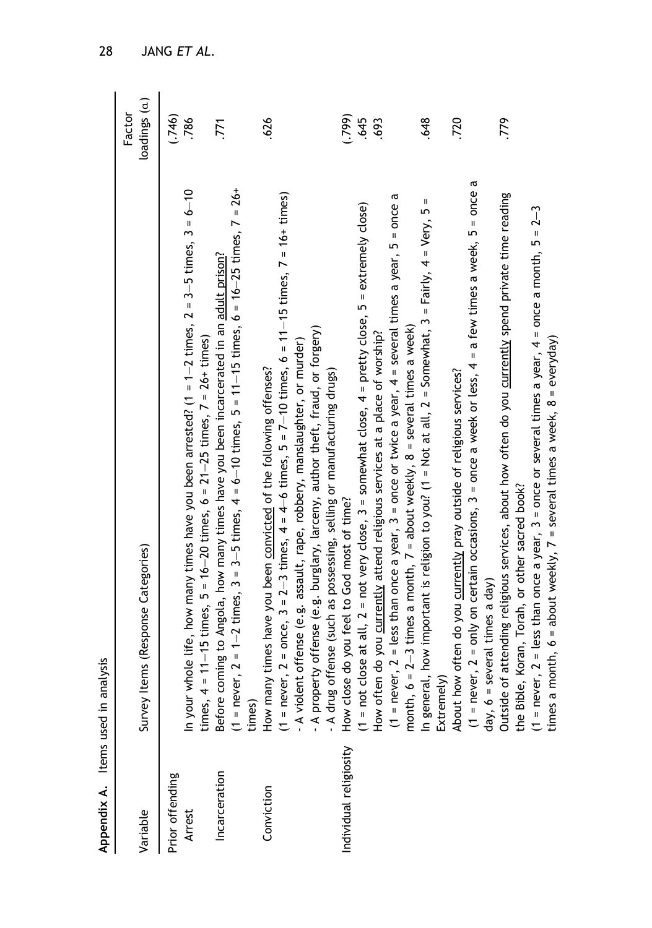<span id="page-28-0"></span>

| Variable                  | Survey Items (Response Categories)                                                                                                                                                                                                                                                          | loadings (a)<br>Factor |
|---------------------------|---------------------------------------------------------------------------------------------------------------------------------------------------------------------------------------------------------------------------------------------------------------------------------------------|------------------------|
| Prior offending<br>Arrest | In your whole life, how many times have you been arrested? (1 = 1-2 times, 2 = 3-5 times, 3 = 6-10                                                                                                                                                                                          | $(0 + 7)$<br>,786      |
| Incarceration             | (1 = never, 2 = 1–2 times, 3 = 3–5 times, 4 = 6–10 times, 5 = 11–15 times, 6 = 16–25 times, 7 = 26+<br>Before coming to Angola, how many times have you been incarcerated in an adult prison?<br>$= 11 - 15$ times, $5 = 16 - 20$ times, $6 = 21 - 25$ times, $7 = 26 +$ times)<br>times, 4 | $\overline{71}$        |
| Conviction                | How many times have you been <u>convicted</u> of the following offenses?<br>(1 = never, 2 = once, 3 = 2-3 times, 4 = 4-6 times, 5 = 7-10 times, 6 = 11-15 times, 7 = 16+ times)<br>times)                                                                                                   | .626                   |
|                           | A violent offense (e.g. assault, rape, robbery, manslaughter, or murder)<br>- A property offense (e.g. burglary, larceny, author theft, fraud, or forgery)<br>- A drug offense (such as possessing, selling or manufacturing drugs)                                                         |                        |
| Individual religiosity    | How close do you feel to God most of time?                                                                                                                                                                                                                                                  | (299)                  |
|                           | (1 = not close at all, 2 = not very close, 3 = somewhat close, 4 = pretty close, 5 = extremely close)                                                                                                                                                                                       | .645<br>.693           |
|                           | How often do you <u>currently</u> attend religious services at a place of worship?<br>(1 = never, 2 = less than once a year, 3 = once or twice a year, 4 = several times a year, 5 = once a                                                                                                 |                        |
|                           | month, $6 = 2-3$ times a month, $7 =$ about weekly, $8 =$ several times a week)                                                                                                                                                                                                             |                        |
|                           | Ш<br>In general, how important is religion to you? (1 = Not at all, 2 = Somewhat, 3 = Fairly, 4 = Very, 5<br>Extremely)                                                                                                                                                                     | .648                   |
|                           | About how often do you currently pray outside of religious services?                                                                                                                                                                                                                        | .720                   |
|                           | ø<br>(1 = never, 2 = only on certain occasions, 3 = once a week or less, $4 = a$ few times a week, $5 =$ once<br>day, 6 = several times a day)                                                                                                                                              |                        |
|                           | Outside of attending religious services, about how often do you <u>currently</u> spend private time reading<br>the Bible, Koran, Torah, or other sacred book?                                                                                                                               | .779                   |
|                           | (1 = never, 2 = less than once a year, 3 = once or several times a year, 4 = once a month, 5 = 2-3<br>month, $6 =$ about weekly, $7 =$ several times a week, $8 =$ everyday)<br>times a                                                                                                     |                        |

Appendix A. Items used in analysis Appendix A. Items used in analysis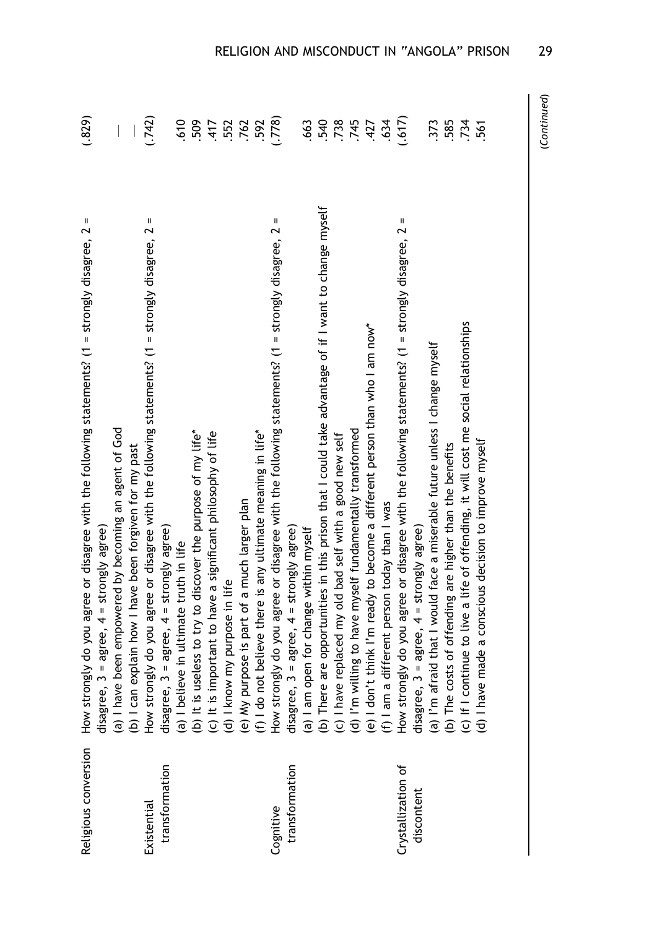| Religious conversion | Ш<br>How strongly do you agree or disagree with the following statements? (1 = strongly disagree, 2                                                                                                                               | (.829)                   |
|----------------------|-----------------------------------------------------------------------------------------------------------------------------------------------------------------------------------------------------------------------------------|--------------------------|
|                      | disagree, 3 = agree, 4 = strongly agree)<br>(a) I have been empowhered by becoming an agree) and coden in the following statements? (1 = strongly disagree, 2 = have been empowhered by becoming in any end coden<br>(b) I have b |                          |
|                      |                                                                                                                                                                                                                                   |                          |
| Existential          | $\sf II$                                                                                                                                                                                                                          | (.742)                   |
| transformation       |                                                                                                                                                                                                                                   |                          |
|                      |                                                                                                                                                                                                                                   | $-610$                   |
|                      |                                                                                                                                                                                                                                   | 509                      |
|                      |                                                                                                                                                                                                                                   | $-417$                   |
|                      |                                                                                                                                                                                                                                   | .552<br>762              |
|                      |                                                                                                                                                                                                                                   |                          |
|                      |                                                                                                                                                                                                                                   | 592                      |
| Cognitive            | Ш                                                                                                                                                                                                                                 | (.778)                   |
| transformation       |                                                                                                                                                                                                                                   |                          |
|                      |                                                                                                                                                                                                                                   | .663                     |
|                      | e are opportunities in this prison that I could take advantage of if I want to change myself                                                                                                                                      |                          |
|                      |                                                                                                                                                                                                                                   |                          |
|                      |                                                                                                                                                                                                                                   | 175<br>175<br>175<br>177 |
|                      |                                                                                                                                                                                                                                   |                          |
|                      |                                                                                                                                                                                                                                   | .634                     |
| Crystallization of   | Ш                                                                                                                                                                                                                                 | (517)                    |
| discontent           |                                                                                                                                                                                                                                   |                          |
|                      |                                                                                                                                                                                                                                   | 373                      |
|                      |                                                                                                                                                                                                                                   | .585                     |
|                      |                                                                                                                                                                                                                                   | .734                     |
|                      | e made a conscious decision to improve myself<br>$(d)$   hav                                                                                                                                                                      | 561                      |
|                      |                                                                                                                                                                                                                                   |                          |

RELIGION AND MISCONDUCT IN "ANGOLA" PRISON 29

(Continued)

(Continued)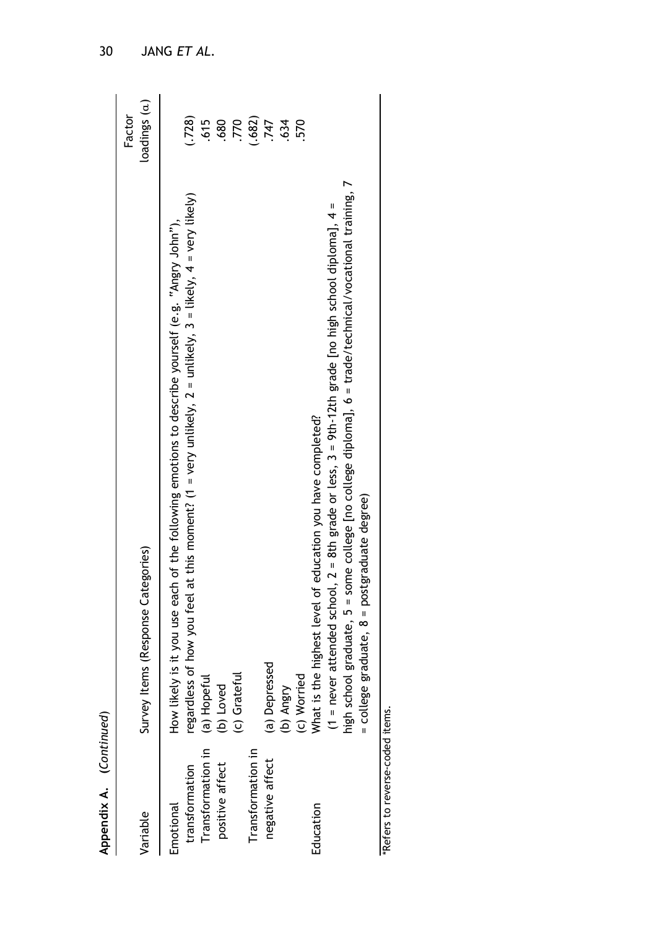| Appendix A. (Continued)       |                                                                                                                                                                                                                |                        |
|-------------------------------|----------------------------------------------------------------------------------------------------------------------------------------------------------------------------------------------------------------|------------------------|
| Variable                      | Survey Items (Response Categories)                                                                                                                                                                             | loadings (a)<br>Factor |
| transformation<br>Emotional   | regardless of how you feel at this moment? (1 = very unlikely, 2 = unlikely, 3 = likely, 4 = very likely)<br>How likely is it you use each of the following emotions to describe yourself (e.g. "Angry John"), | (.728)                 |
| Transformation in (a) Hopeful |                                                                                                                                                                                                                | .615                   |
| positive affect               | (b) Loved                                                                                                                                                                                                      | .680                   |
|                               | (c) Grateful                                                                                                                                                                                                   | .770                   |
| Transformation in             |                                                                                                                                                                                                                | (.682)                 |
| negative affect               | (a) Depressed                                                                                                                                                                                                  | 747                    |
|                               | (b) Angry                                                                                                                                                                                                      | 634                    |
|                               | (c) Worried                                                                                                                                                                                                    | 570                    |
| Education                     | What is the highest level of education you have completed?                                                                                                                                                     |                        |
|                               | (1 = never attended school, 2 = 8th grade or less, 3 = 9th-12th grade [no high school diploma], 4 =                                                                                                            |                        |
|                               | high school graduate, 5 = some college [no college diploma], 6 = trade/technical/vocational training, 7                                                                                                        |                        |
|                               | graduate, 8 = postgraduate degree)<br>= college !                                                                                                                                                              |                        |

\*Refers to reverse-coded items. \*Refers to reverse-coded items.